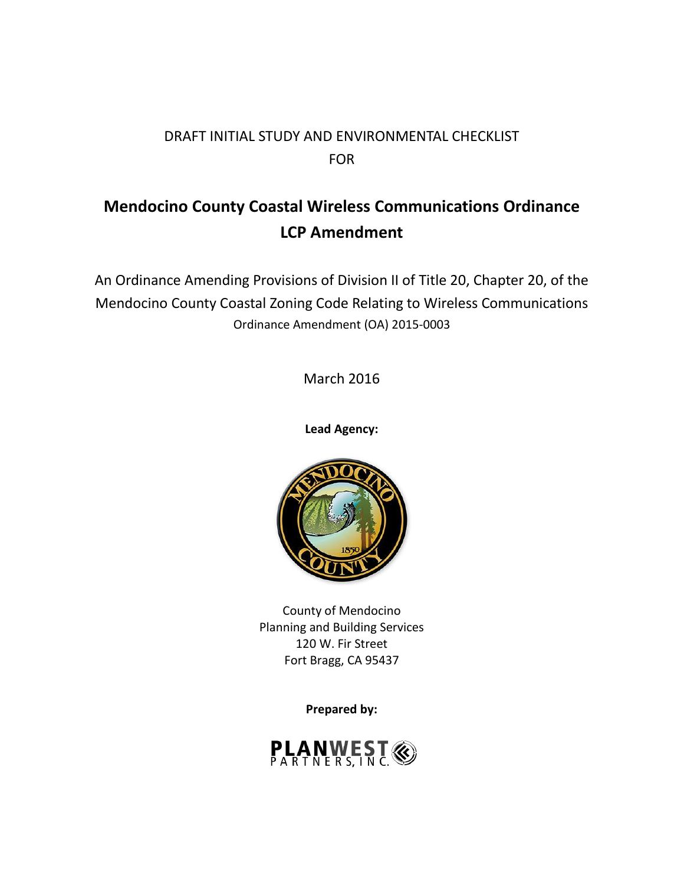# DRAFT INITIAL STUDY AND ENVIRONMENTAL CHECKLIST FOR

# **Mendocino County Coastal Wireless Communications Ordinance LCP Amendment**

An Ordinance Amending Provisions of Division II of Title 20, Chapter 20, of the Mendocino County Coastal Zoning Code Relating to Wireless Communications Ordinance Amendment (OA) 2015-0003

March 2016

**Lead Agency:**



County of Mendocino Planning and Building Services 120 W. Fir Street Fort Bragg, CA 95437

**Prepared by:**

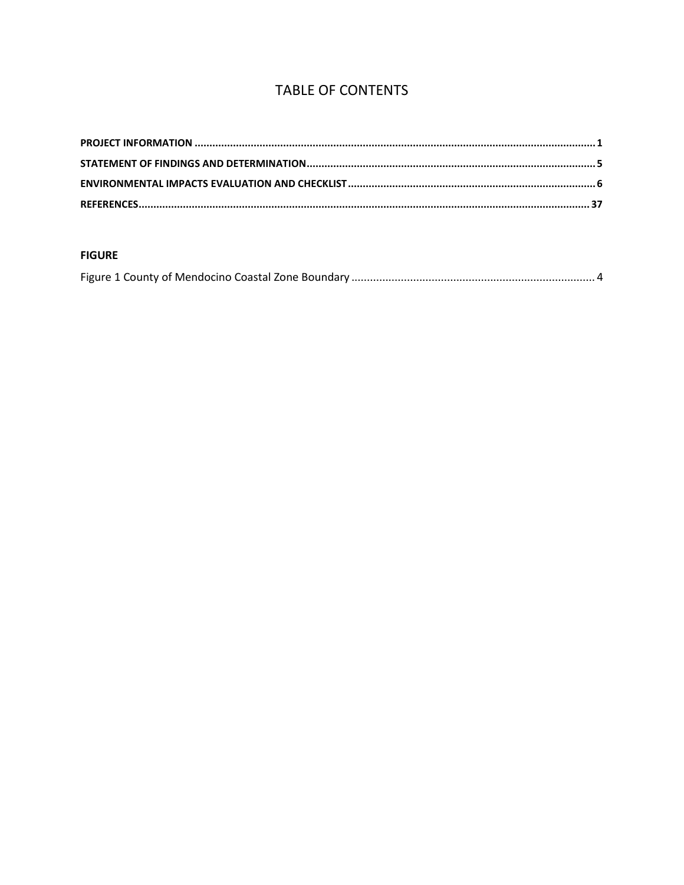# **TABLE OF CONTENTS**

#### **FIGURE**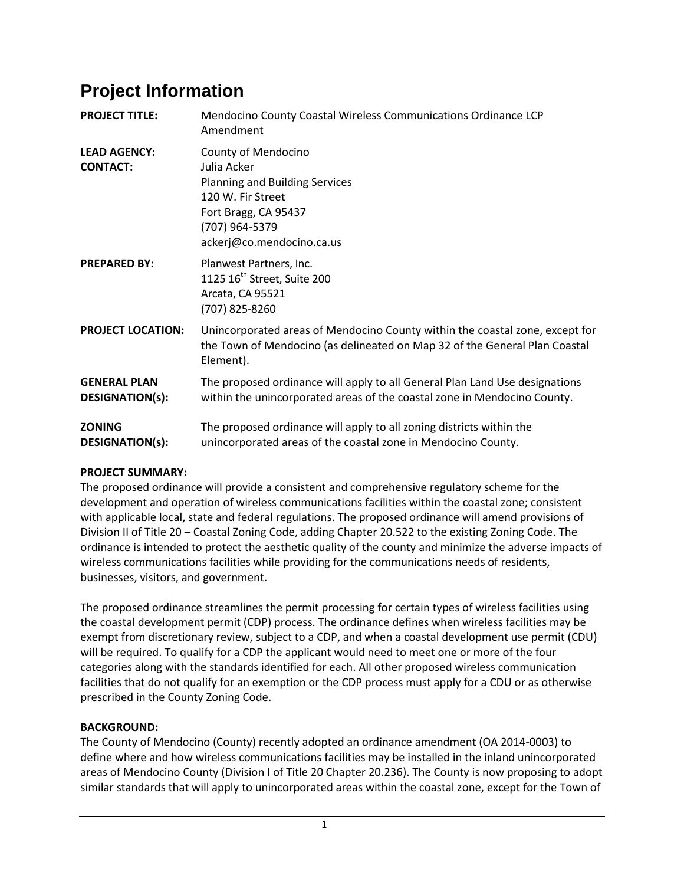# <span id="page-2-0"></span>**Project Information**

| <b>PROJECT TITLE:</b>                         | Mendocino County Coastal Wireless Communications Ordinance LCP<br>Amendment                                                                                             |
|-----------------------------------------------|-------------------------------------------------------------------------------------------------------------------------------------------------------------------------|
| <b>LEAD AGENCY:</b><br><b>CONTACT:</b>        | County of Mendocino<br>Julia Acker<br><b>Planning and Building Services</b><br>120 W. Fir Street<br>Fort Bragg, CA 95437<br>(707) 964-5379<br>ackerj@co.mendocino.ca.us |
| <b>PREPARED BY:</b>                           | Planwest Partners, Inc.<br>1125 16 <sup>th</sup> Street, Suite 200<br>Arcata, CA 95521<br>(707) 825-8260                                                                |
| <b>PROJECT LOCATION:</b>                      | Unincorporated areas of Mendocino County within the coastal zone, except for<br>the Town of Mendocino (as delineated on Map 32 of the General Plan Coastal<br>Element). |
| <b>GENERAL PLAN</b><br><b>DESIGNATION(s):</b> | The proposed ordinance will apply to all General Plan Land Use designations<br>within the unincorporated areas of the coastal zone in Mendocino County.                 |
| <b>ZONING</b><br><b>DESIGNATION(s):</b>       | The proposed ordinance will apply to all zoning districts within the<br>unincorporated areas of the coastal zone in Mendocino County.                                   |

# **PROJECT SUMMARY:**

The proposed ordinance will provide a consistent and comprehensive regulatory scheme for the development and operation of wireless communications facilities within the coastal zone; consistent with applicable local, state and federal regulations. The proposed ordinance will amend provisions of Division II of Title 20 – Coastal Zoning Code, adding Chapter 20.522 to the existing Zoning Code. The ordinance is intended to protect the aesthetic quality of the county and minimize the adverse impacts of wireless communications facilities while providing for the communications needs of residents, businesses, visitors, and government.

The proposed ordinance streamlines the permit processing for certain types of wireless facilities using the coastal development permit (CDP) process. The ordinance defines when wireless facilities may be exempt from discretionary review, subject to a CDP, and when a coastal development use permit (CDU) will be required. To qualify for a CDP the applicant would need to meet one or more of the four categories along with the standards identified for each. All other proposed wireless communication facilities that do not qualify for an exemption or the CDP process must apply for a CDU or as otherwise prescribed in the County Zoning Code.

# **BACKGROUND:**

The County of Mendocino (County) recently adopted an ordinance amendment (OA 2014-0003) to define where and how wireless communications facilities may be installed in the inland unincorporated areas of Mendocino County (Division I of Title 20 Chapter 20.236). The County is now proposing to adopt similar standards that will apply to unincorporated areas within the coastal zone, except for the Town of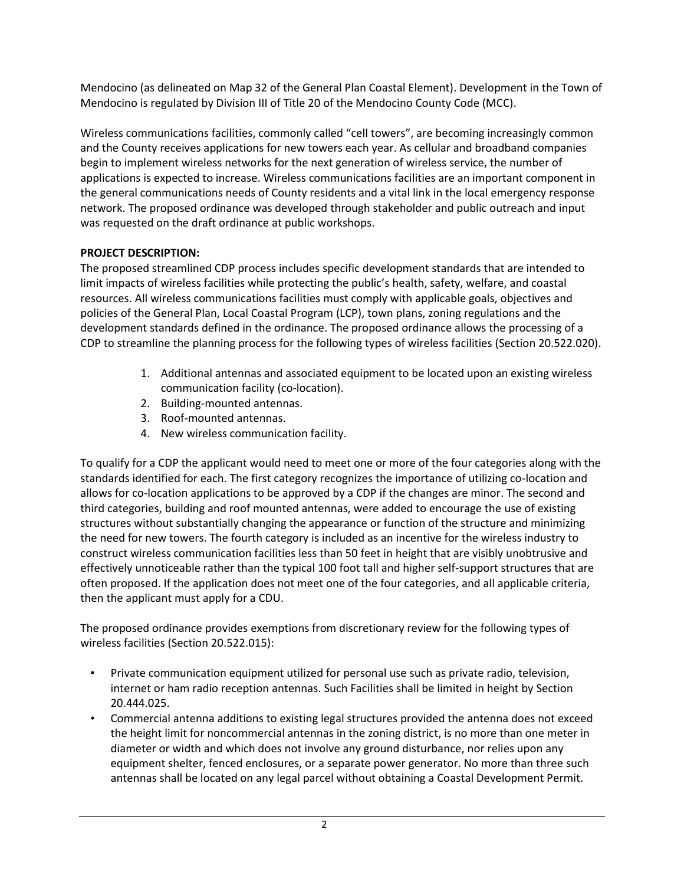Mendocino (as delineated on Map 32 of the General Plan Coastal Element). Development in the Town of Mendocino is regulated by Division III of Title 20 of the Mendocino County Code (MCC).

Wireless communications facilities, commonly called "cell towers", are becoming increasingly common and the County receives applications for new towers each year. As cellular and broadband companies begin to implement wireless networks for the next generation of wireless service, the number of applications is expected to increase. Wireless communications facilities are an important component in the general communications needs of County residents and a vital link in the local emergency response network. The proposed ordinance was developed through stakeholder and public outreach and input was requested on the draft ordinance at public workshops.

# **PROJECT DESCRIPTION:**

The proposed streamlined CDP process includes specific development standards that are intended to limit impacts of wireless facilities while protecting the public's health, safety, welfare, and coastal resources. All wireless communications facilities must comply with applicable goals, objectives and policies of the General Plan, Local Coastal Program (LCP), town plans, zoning regulations and the development standards defined in the ordinance. The proposed ordinance allows the processing of a CDP to streamline the planning process for the following types of wireless facilities (Section 20.522.020).

- 1. Additional antennas and associated equipment to be located upon an existing wireless communication facility (co-location).
- 2. Building-mounted antennas.
- 3. Roof-mounted antennas.
- 4. New wireless communication facility.

To qualify for a CDP the applicant would need to meet one or more of the four categories along with the standards identified for each. The first category recognizes the importance of utilizing co-location and allows for co-location applications to be approved by a CDP if the changes are minor. The second and third categories, building and roof mounted antennas, were added to encourage the use of existing structures without substantially changing the appearance or function of the structure and minimizing the need for new towers. The fourth category is included as an incentive for the wireless industry to construct wireless communication facilities less than 50 feet in height that are visibly unobtrusive and effectively unnoticeable rather than the typical 100 foot tall and higher self-support structures that are often proposed. If the application does not meet one of the four categories, and all applicable criteria, then the applicant must apply for a CDU.

The proposed ordinance provides exemptions from discretionary review for the following types of wireless facilities (Section 20.522.015):

- Private communication equipment utilized for personal use such as private radio, television, internet or ham radio reception antennas. Such Facilities shall be limited in height by Section 20.444.025.
- Commercial antenna additions to existing legal structures provided the antenna does not exceed the height limit for noncommercial antennas in the zoning district, is no more than one meter in diameter or width and which does not involve any ground disturbance, nor relies upon any equipment shelter, fenced enclosures, or a separate power generator. No more than three such antennas shall be located on any legal parcel without obtaining a Coastal Development Permit.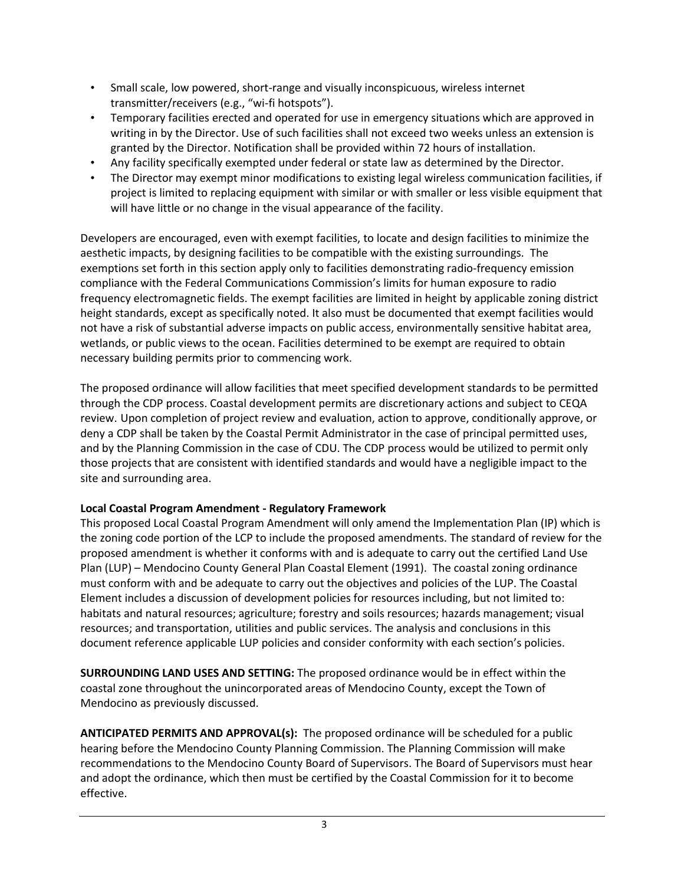- Small scale, low powered, short-range and visually inconspicuous, wireless internet transmitter/receivers (e.g., "wi-fi hotspots").
- Temporary facilities erected and operated for use in emergency situations which are approved in writing in by the Director. Use of such facilities shall not exceed two weeks unless an extension is granted by the Director. Notification shall be provided within 72 hours of installation.
- Any facility specifically exempted under federal or state law as determined by the Director.
- The Director may exempt minor modifications to existing legal wireless communication facilities, if project is limited to replacing equipment with similar or with smaller or less visible equipment that will have little or no change in the visual appearance of the facility.

Developers are encouraged, even with exempt facilities, to locate and design facilities to minimize the aesthetic impacts, by designing facilities to be compatible with the existing surroundings. The exemptions set forth in this section apply only to facilities demonstrating radio-frequency emission compliance with the Federal Communications Commission's limits for human exposure to radio frequency electromagnetic fields. The exempt facilities are limited in height by applicable zoning district height standards, except as specifically noted. It also must be documented that exempt facilities would not have a risk of substantial adverse impacts on public access, environmentally sensitive habitat area, wetlands, or public views to the ocean. Facilities determined to be exempt are required to obtain necessary building permits prior to commencing work.

The proposed ordinance will allow facilities that meet specified development standards to be permitted through the CDP process. Coastal development permits are discretionary actions and subject to CEQA review. Upon completion of project review and evaluation, action to approve, conditionally approve, or deny a CDP shall be taken by the Coastal Permit Administrator in the case of principal permitted uses, and by the Planning Commission in the case of CDU. The CDP process would be utilized to permit only those projects that are consistent with identified standards and would have a negligible impact to the site and surrounding area.

# **Local Coastal Program Amendment - Regulatory Framework**

This proposed Local Coastal Program Amendment will only amend the Implementation Plan (IP) which is the zoning code portion of the LCP to include the proposed amendments. The standard of review for the proposed amendment is whether it conforms with and is adequate to carry out the certified Land Use Plan (LUP) – Mendocino County General Plan Coastal Element (1991). The coastal zoning ordinance must conform with and be adequate to carry out the objectives and policies of the LUP. The Coastal Element includes a discussion of development policies for resources including, but not limited to: habitats and natural resources; agriculture; forestry and soils resources; hazards management; visual resources; and transportation, utilities and public services. The analysis and conclusions in this document reference applicable LUP policies and consider conformity with each section's policies.

**SURROUNDING LAND USES AND SETTING:** The proposed ordinance would be in effect within the coastal zone throughout the unincorporated areas of Mendocino County, except the Town of Mendocino as previously discussed.

**ANTICIPATED PERMITS AND APPROVAL(s):** The proposed ordinance will be scheduled for a public hearing before the Mendocino County Planning Commission. The Planning Commission will make recommendations to the Mendocino County Board of Supervisors. The Board of Supervisors must hear and adopt the ordinance, which then must be certified by the Coastal Commission for it to become effective.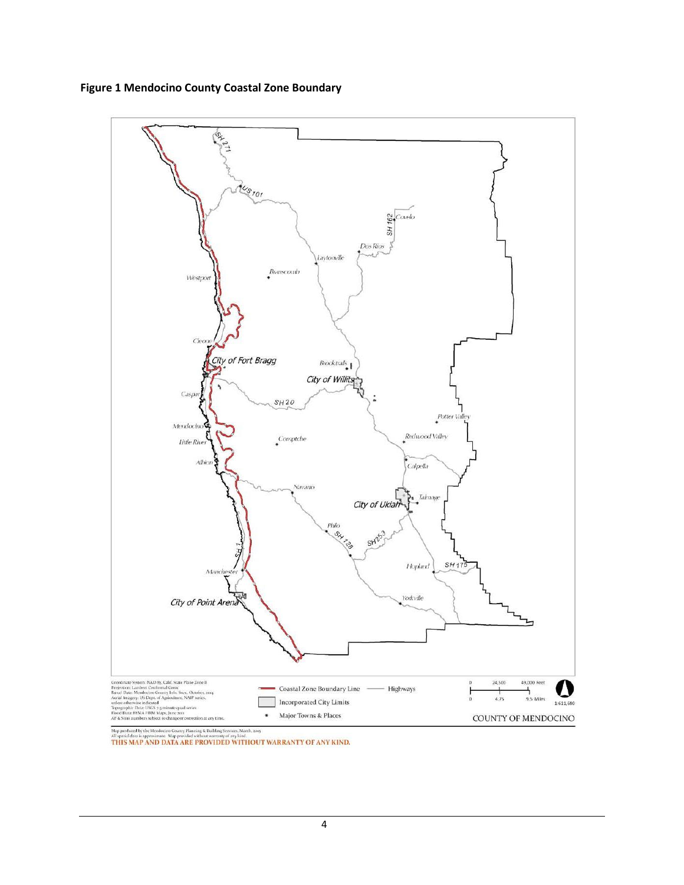**Figure 1 Mendocino County Coastal Zone Boundary**

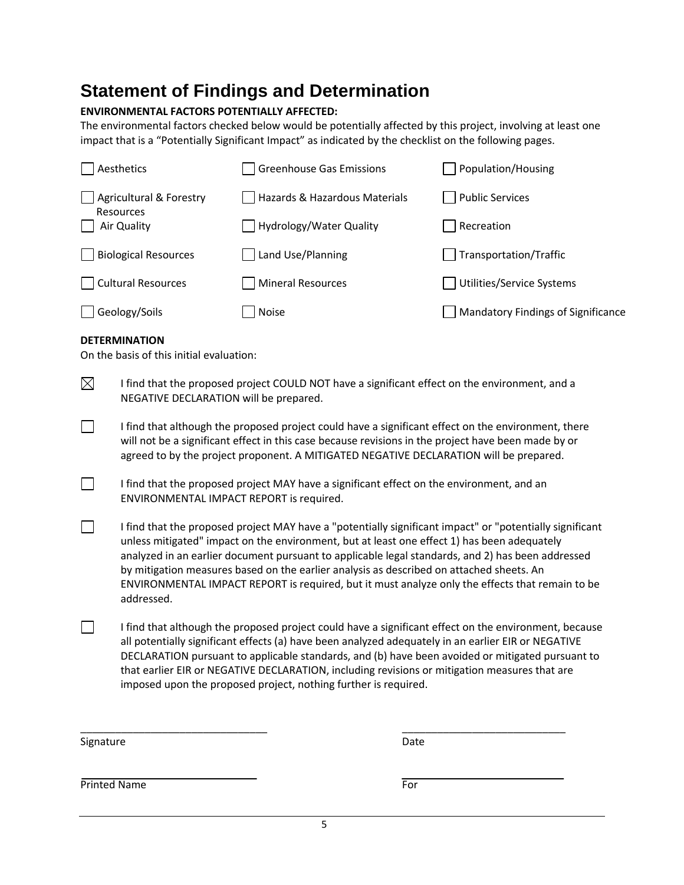# <span id="page-6-0"></span>**Statement of Findings and Determination**

#### **ENVIRONMENTAL FACTORS POTENTIALLY AFFECTED:**

The environmental factors checked below would be potentially affected by this project, involving at least one impact that is a "Potentially Significant Impact" as indicated by the checklist on the following pages.

| Aesthetics                         | <b>Greenhouse Gas Emissions</b> | Population/Housing                        |
|------------------------------------|---------------------------------|-------------------------------------------|
| <b>Agricultural &amp; Forestry</b> | Hazards & Hazardous Materials   | <b>Public Services</b>                    |
| Resources<br>Air Quality           | Hydrology/Water Quality         | Recreation                                |
| <b>Biological Resources</b>        | Land Use/Planning               | Transportation/Traffic                    |
| <b>Cultural Resources</b>          | Mineral Resources               | Utilities/Service Systems                 |
| Geology/Soils                      | Noise                           | <b>Mandatory Findings of Significance</b> |

#### **DETERMINATION**

 $\Box$ 

On the basis of this initial evaluation:

 $\boxtimes$ I find that the proposed project COULD NOT have a significant effect on the environment, and a NEGATIVE DECLARATION will be prepared.

 $\Box$ I find that although the proposed project could have a significant effect on the environment, there will not be a significant effect in this case because revisions in the project have been made by or agreed to by the project proponent. A MITIGATED NEGATIVE DECLARATION will be prepared.

I find that the proposed project MAY have a significant effect on the environment, and an ENVIRONMENTAL IMPACT REPORT is required.

 $\Box$ I find that the proposed project MAY have a "potentially significant impact" or "potentially significant unless mitigated" impact on the environment, but at least one effect 1) has been adequately analyzed in an earlier document pursuant to applicable legal standards, and 2) has been addressed by mitigation measures based on the earlier analysis as described on attached sheets. An ENVIRONMENTAL IMPACT REPORT is required, but it must analyze only the effects that remain to be addressed.

 $\Box$ I find that although the proposed project could have a significant effect on the environment, because all potentially significant effects (a) have been analyzed adequately in an earlier EIR or NEGATIVE DECLARATION pursuant to applicable standards, and (b) have been avoided or mitigated pursuant to that earlier EIR or NEGATIVE DECLARATION, including revisions or mitigation measures that are imposed upon the proposed project, nothing further is required.

Signature Date Date Date

\_\_\_\_\_\_\_\_\_\_\_\_\_\_\_\_\_\_\_\_\_\_\_\_\_\_\_\_\_\_\_\_ \_\_\_\_\_\_\_\_\_\_\_\_\_\_\_\_\_\_\_\_\_\_\_\_\_\_\_\_

Printed Name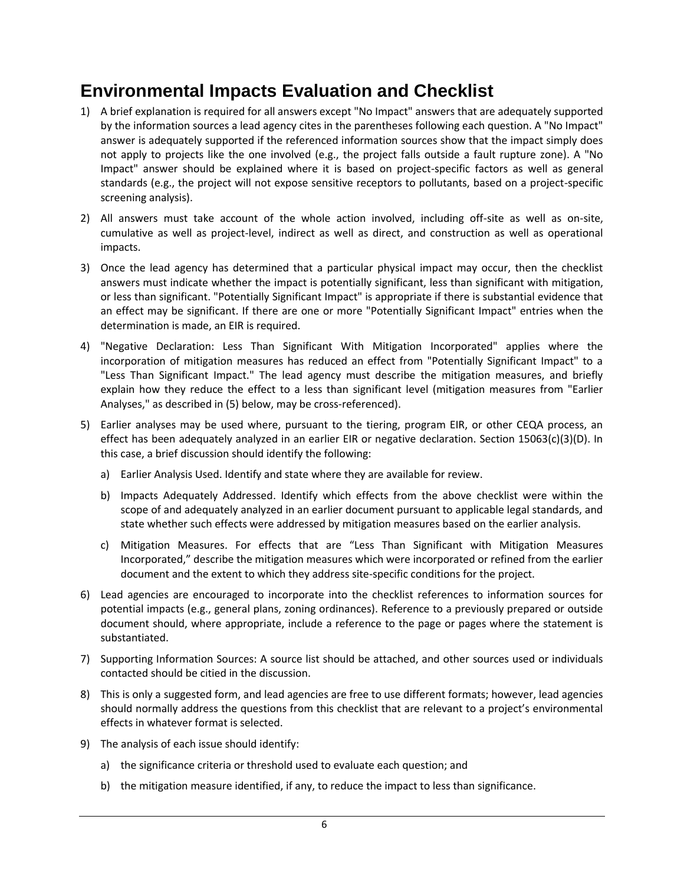# <span id="page-7-0"></span>**Environmental Impacts Evaluation and Checklist**

- 1) A brief explanation is required for all answers except "No Impact" answers that are adequately supported by the information sources a lead agency cites in the parentheses following each question. A "No Impact" answer is adequately supported if the referenced information sources show that the impact simply does not apply to projects like the one involved (e.g., the project falls outside a fault rupture zone). A "No Impact" answer should be explained where it is based on project-specific factors as well as general standards (e.g., the project will not expose sensitive receptors to pollutants, based on a project-specific screening analysis).
- 2) All answers must take account of the whole action involved, including off-site as well as on-site, cumulative as well as project-level, indirect as well as direct, and construction as well as operational impacts.
- 3) Once the lead agency has determined that a particular physical impact may occur, then the checklist answers must indicate whether the impact is potentially significant, less than significant with mitigation, or less than significant. "Potentially Significant Impact" is appropriate if there is substantial evidence that an effect may be significant. If there are one or more "Potentially Significant Impact" entries when the determination is made, an EIR is required.
- 4) "Negative Declaration: Less Than Significant With Mitigation Incorporated" applies where the incorporation of mitigation measures has reduced an effect from "Potentially Significant Impact" to a "Less Than Significant Impact." The lead agency must describe the mitigation measures, and briefly explain how they reduce the effect to a less than significant level (mitigation measures from "Earlier Analyses," as described in (5) below, may be cross-referenced).
- 5) Earlier analyses may be used where, pursuant to the tiering, program EIR, or other CEQA process, an effect has been adequately analyzed in an earlier EIR or negative declaration. Section 15063(c)(3)(D). In this case, a brief discussion should identify the following:
	- a) Earlier Analysis Used. Identify and state where they are available for review.
	- b) Impacts Adequately Addressed. Identify which effects from the above checklist were within the scope of and adequately analyzed in an earlier document pursuant to applicable legal standards, and state whether such effects were addressed by mitigation measures based on the earlier analysis.
	- c) Mitigation Measures. For effects that are "Less Than Significant with Mitigation Measures Incorporated," describe the mitigation measures which were incorporated or refined from the earlier document and the extent to which they address site-specific conditions for the project.
- 6) Lead agencies are encouraged to incorporate into the checklist references to information sources for potential impacts (e.g., general plans, zoning ordinances). Reference to a previously prepared or outside document should, where appropriate, include a reference to the page or pages where the statement is substantiated.
- 7) Supporting Information Sources: A source list should be attached, and other sources used or individuals contacted should be citied in the discussion.
- 8) This is only a suggested form, and lead agencies are free to use different formats; however, lead agencies should normally address the questions from this checklist that are relevant to a project's environmental effects in whatever format is selected.
- 9) The analysis of each issue should identify:
	- a) the significance criteria or threshold used to evaluate each question; and
	- b) the mitigation measure identified, if any, to reduce the impact to less than significance.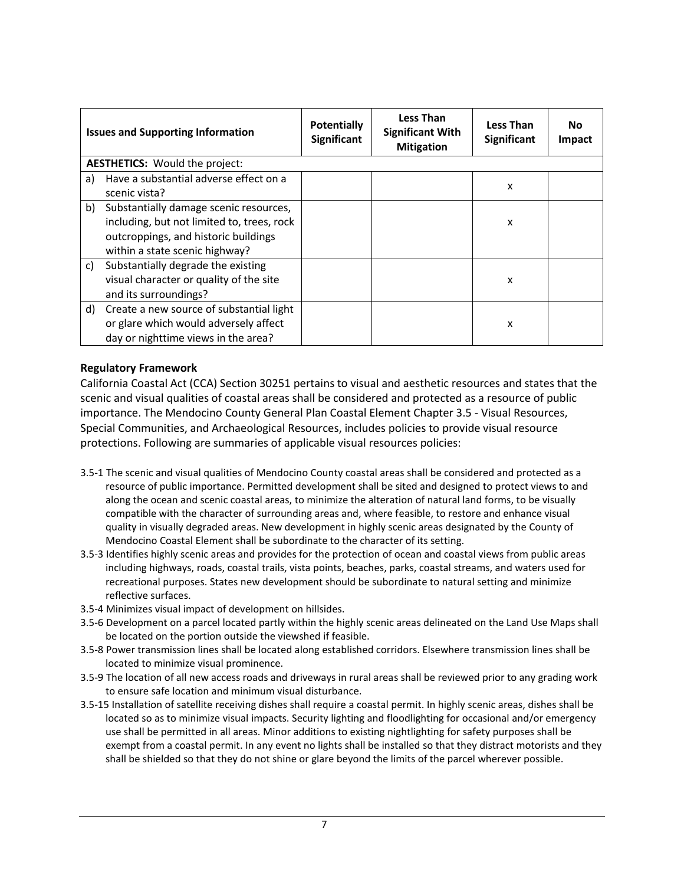| <b>Issues and Supporting Information</b> |                                                                                                                                                                | <b>Potentially</b><br>Significant | <b>Less Than</b><br><b>Significant With</b><br><b>Mitigation</b> | <b>Less Than</b><br>Significant | No.<br><b>Impact</b> |
|------------------------------------------|----------------------------------------------------------------------------------------------------------------------------------------------------------------|-----------------------------------|------------------------------------------------------------------|---------------------------------|----------------------|
|                                          | <b>AESTHETICS:</b> Would the project:                                                                                                                          |                                   |                                                                  |                                 |                      |
| a)                                       | Have a substantial adverse effect on a<br>scenic vista?                                                                                                        |                                   |                                                                  | x                               |                      |
| b)                                       | Substantially damage scenic resources,<br>including, but not limited to, trees, rock<br>outcroppings, and historic buildings<br>within a state scenic highway? |                                   |                                                                  | x                               |                      |
| C)                                       | Substantially degrade the existing<br>visual character or quality of the site<br>and its surroundings?                                                         |                                   |                                                                  | x                               |                      |
|                                          | d) Create a new source of substantial light<br>or glare which would adversely affect<br>day or nighttime views in the area?                                    |                                   |                                                                  | x                               |                      |

California Coastal Act (CCA) Section 30251 pertains to visual and aesthetic resources and states that the scenic and visual qualities of coastal areas shall be considered and protected as a resource of public importance. The Mendocino County General Plan Coastal Element Chapter 3.5 - Visual Resources, Special Communities, and Archaeological Resources, includes policies to provide visual resource protections. Following are summaries of applicable visual resources policies:

- 3.5-1 The scenic and visual qualities of Mendocino County coastal areas shall be considered and protected as a resource of public importance. Permitted development shall be sited and designed to protect views to and along the ocean and scenic coastal areas, to minimize the alteration of natural land forms, to be visually compatible with the character of surrounding areas and, where feasible, to restore and enhance visual quality in visually degraded areas. New development in highly scenic areas designated by the County of Mendocino Coastal Element shall be subordinate to the character of its setting.
- 3.5-3 Identifies highly scenic areas and provides for the protection of ocean and coastal views from public areas including highways, roads, coastal trails, vista points, beaches, parks, coastal streams, and waters used for recreational purposes. States new development should be subordinate to natural setting and minimize reflective surfaces.
- 3.5-4 Minimizes visual impact of development on hillsides.
- 3.5-6 Development on a parcel located partly within the highly scenic areas delineated on the Land Use Maps shall be located on the portion outside the viewshed if feasible.
- 3.5-8 Power transmission lines shall be located along established corridors. Elsewhere transmission lines shall be located to minimize visual prominence.
- 3.5-9 The location of all new access roads and driveways in rural areas shall be reviewed prior to any grading work to ensure safe location and minimum visual disturbance.
- 3.5-15 Installation of satellite receiving dishes shall require a coastal permit. In highly scenic areas, dishes shall be located so as to minimize visual impacts. Security lighting and floodlighting for occasional and/or emergency use shall be permitted in all areas. Minor additions to existing nightlighting for safety purposes shall be exempt from a coastal permit. In any event no lights shall be installed so that they distract motorists and they shall be shielded so that they do not shine or glare beyond the limits of the parcel wherever possible.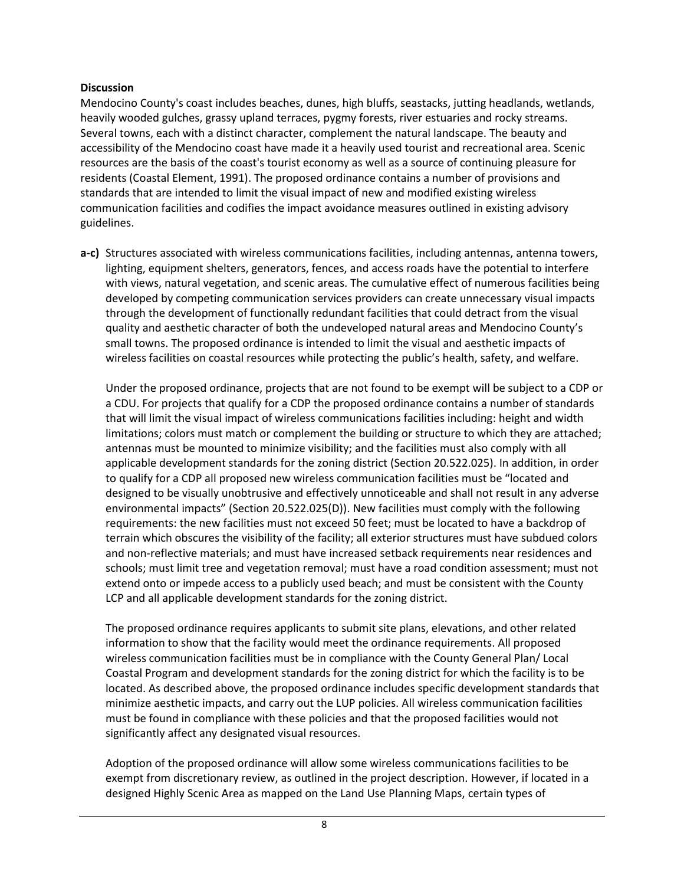#### **Discussion**

Mendocino County's coast includes beaches, dunes, high bluffs, seastacks, jutting headlands, wetlands, heavily wooded gulches, grassy upland terraces, pygmy forests, river estuaries and rocky streams. Several towns, each with a distinct character, complement the natural landscape. The beauty and accessibility of the Mendocino coast have made it a heavily used tourist and recreational area. Scenic resources are the basis of the coast's tourist economy as well as a source of continuing pleasure for residents (Coastal Element, 1991). The proposed ordinance contains a number of provisions and standards that are intended to limit the visual impact of new and modified existing wireless communication facilities and codifies the impact avoidance measures outlined in existing advisory guidelines.

**a-c)** Structures associated with wireless communications facilities, including antennas, antenna towers, lighting, equipment shelters, generators, fences, and access roads have the potential to interfere with views, natural vegetation, and scenic areas. The cumulative effect of numerous facilities being developed by competing communication services providers can create unnecessary visual impacts through the development of functionally redundant facilities that could detract from the visual quality and aesthetic character of both the undeveloped natural areas and Mendocino County's small towns. The proposed ordinance is intended to limit the visual and aesthetic impacts of wireless facilities on coastal resources while protecting the public's health, safety, and welfare.

Under the proposed ordinance, projects that are not found to be exempt will be subject to a CDP or a CDU. For projects that qualify for a CDP the proposed ordinance contains a number of standards that will limit the visual impact of wireless communications facilities including: height and width limitations; colors must match or complement the building or structure to which they are attached; antennas must be mounted to minimize visibility; and the facilities must also comply with all applicable development standards for the zoning district (Section 20.522.025). In addition, in order to qualify for a CDP all proposed new wireless communication facilities must be "located and designed to be visually unobtrusive and effectively unnoticeable and shall not result in any adverse environmental impacts" (Section 20.522.025(D)). New facilities must comply with the following requirements: the new facilities must not exceed 50 feet; must be located to have a backdrop of terrain which obscures the visibility of the facility; all exterior structures must have subdued colors and non-reflective materials; and must have increased setback requirements near residences and schools; must limit tree and vegetation removal; must have a road condition assessment; must not extend onto or impede access to a publicly used beach; and must be consistent with the County LCP and all applicable development standards for the zoning district.

The proposed ordinance requires applicants to submit site plans, elevations, and other related information to show that the facility would meet the ordinance requirements. All proposed wireless communication facilities must be in compliance with the County General Plan/ Local Coastal Program and development standards for the zoning district for which the facility is to be located. As described above, the proposed ordinance includes specific development standards that minimize aesthetic impacts, and carry out the LUP policies. All wireless communication facilities must be found in compliance with these policies and that the proposed facilities would not significantly affect any designated visual resources.

Adoption of the proposed ordinance will allow some wireless communications facilities to be exempt from discretionary review, as outlined in the project description. However, if located in a designed Highly Scenic Area as mapped on the Land Use Planning Maps, certain types of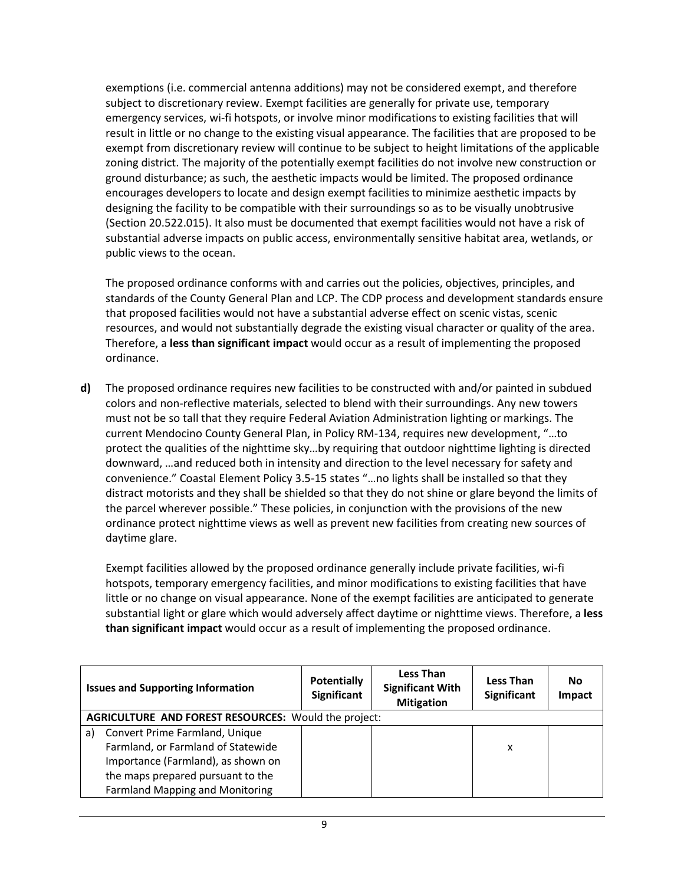exemptions (i.e. commercial antenna additions) may not be considered exempt, and therefore subject to discretionary review. Exempt facilities are generally for private use, temporary emergency services, wi-fi hotspots, or involve minor modifications to existing facilities that will result in little or no change to the existing visual appearance. The facilities that are proposed to be exempt from discretionary review will continue to be subject to height limitations of the applicable zoning district. The majority of the potentially exempt facilities do not involve new construction or ground disturbance; as such, the aesthetic impacts would be limited. The proposed ordinance encourages developers to locate and design exempt facilities to minimize aesthetic impacts by designing the facility to be compatible with their surroundings so as to be visually unobtrusive (Section 20.522.015). It also must be documented that exempt facilities would not have a risk of substantial adverse impacts on public access, environmentally sensitive habitat area, wetlands, or public views to the ocean.

The proposed ordinance conforms with and carries out the policies, objectives, principles, and standards of the County General Plan and LCP. The CDP process and development standards ensure that proposed facilities would not have a substantial adverse effect on scenic vistas, scenic resources, and would not substantially degrade the existing visual character or quality of the area. Therefore, a **less than significant impact** would occur as a result of implementing the proposed ordinance.

**d)** The proposed ordinance requires new facilities to be constructed with and/or painted in subdued colors and non-reflective materials, selected to blend with their surroundings. Any new towers must not be so tall that they require Federal Aviation Administration lighting or markings. The current Mendocino County General Plan, in Policy RM-134, requires new development, "…to protect the qualities of the nighttime sky…by requiring that outdoor nighttime lighting is directed downward, …and reduced both in intensity and direction to the level necessary for safety and convenience." Coastal Element Policy 3.5-15 states "…no lights shall be installed so that they distract motorists and they shall be shielded so that they do not shine or glare beyond the limits of the parcel wherever possible." These policies, in conjunction with the provisions of the new ordinance protect nighttime views as well as prevent new facilities from creating new sources of daytime glare.

Exempt facilities allowed by the proposed ordinance generally include private facilities, wi-fi hotspots, temporary emergency facilities, and minor modifications to existing facilities that have little or no change on visual appearance. None of the exempt facilities are anticipated to generate substantial light or glare which would adversely affect daytime or nighttime views. Therefore, a **less than significant impact** would occur as a result of implementing the proposed ordinance.

|                                                             | <b>Issues and Supporting Information</b> | <b>Potentially</b><br><b>Significant</b> | <b>Less Than</b><br><b>Significant With</b><br><b>Mitigation</b> | <b>Less Than</b><br><b>Significant</b> | No<br>Impact |
|-------------------------------------------------------------|------------------------------------------|------------------------------------------|------------------------------------------------------------------|----------------------------------------|--------------|
| <b>AGRICULTURE AND FOREST RESOURCES: Would the project:</b> |                                          |                                          |                                                                  |                                        |              |
| a)                                                          | Convert Prime Farmland, Unique           |                                          |                                                                  |                                        |              |
|                                                             | Farmland, or Farmland of Statewide       |                                          |                                                                  | x                                      |              |
|                                                             | Importance (Farmland), as shown on       |                                          |                                                                  |                                        |              |
|                                                             | the maps prepared pursuant to the        |                                          |                                                                  |                                        |              |
|                                                             | <b>Farmland Mapping and Monitoring</b>   |                                          |                                                                  |                                        |              |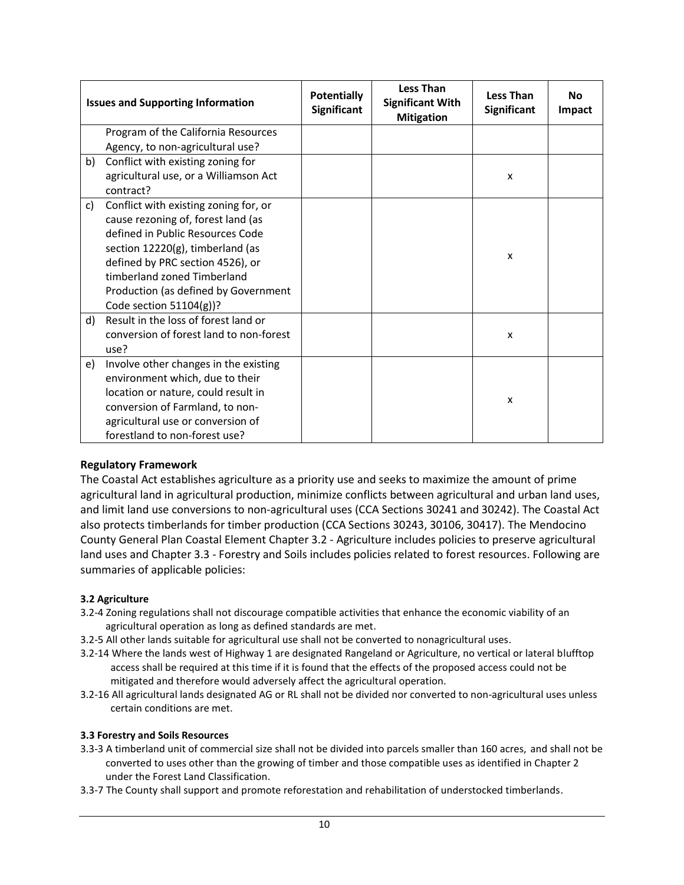|    | <b>Issues and Supporting Information</b>           | <b>Potentially</b><br><b>Significant</b> | <b>Less Than</b><br><b>Significant With</b><br><b>Mitigation</b> | <b>Less Than</b><br><b>Significant</b> | Nο<br>Impact |
|----|----------------------------------------------------|------------------------------------------|------------------------------------------------------------------|----------------------------------------|--------------|
|    | Program of the California Resources                |                                          |                                                                  |                                        |              |
|    | Agency, to non-agricultural use?                   |                                          |                                                                  |                                        |              |
| b) | Conflict with existing zoning for                  |                                          |                                                                  |                                        |              |
|    | agricultural use, or a Williamson Act<br>contract? |                                          |                                                                  | X                                      |              |
| c) | Conflict with existing zoning for, or              |                                          |                                                                  |                                        |              |
|    | cause rezoning of, forest land (as                 |                                          |                                                                  |                                        |              |
|    | defined in Public Resources Code                   |                                          |                                                                  |                                        |              |
|    | section 12220(g), timberland (as                   |                                          |                                                                  | $\mathsf{x}$                           |              |
|    | defined by PRC section 4526), or                   |                                          |                                                                  |                                        |              |
|    | timberland zoned Timberland                        |                                          |                                                                  |                                        |              |
|    | Production (as defined by Government               |                                          |                                                                  |                                        |              |
|    | Code section $51104(g)$ ?                          |                                          |                                                                  |                                        |              |
| d) | Result in the loss of forest land or               |                                          |                                                                  |                                        |              |
|    | conversion of forest land to non-forest            |                                          |                                                                  | X                                      |              |
|    | use?                                               |                                          |                                                                  |                                        |              |
| e) | Involve other changes in the existing              |                                          |                                                                  |                                        |              |
|    | environment which, due to their                    |                                          |                                                                  |                                        |              |
|    | location or nature, could result in                |                                          |                                                                  |                                        |              |
|    | conversion of Farmland, to non-                    |                                          |                                                                  | X                                      |              |
|    | agricultural use or conversion of                  |                                          |                                                                  |                                        |              |
|    | forestland to non-forest use?                      |                                          |                                                                  |                                        |              |

The Coastal Act establishes agriculture as a priority use and seeks to maximize the amount of prime agricultural land in agricultural production, minimize conflicts between agricultural and urban land uses, and limit land use conversions to non-agricultural uses (CCA Sections 30241 and 30242). The Coastal Act also protects timberlands for timber production (CCA Sections 30243, 30106, 30417). The Mendocino County General Plan Coastal Element Chapter 3.2 - Agriculture includes policies to preserve agricultural land uses and Chapter 3.3 - Forestry and Soils includes policies related to forest resources. Following are summaries of applicable policies:

# **3.2 Agriculture**

- 3.2-4 Zoning regulations shall not discourage compatible activities that enhance the economic viability of an agricultural operation as long as defined standards are met.
- 3.2-5 All other lands suitable for agricultural use shall not be converted to nonagricultural uses.
- 3.2-14 Where the lands west of Highway 1 are designated Rangeland or Agriculture, no vertical or lateral blufftop access shall be required at this time if it is found that the effects of the proposed access could not be mitigated and therefore would adversely affect the agricultural operation.
- 3.2-16 All agricultural lands designated AG or RL shall not be divided nor converted to non-agricultural uses unless certain conditions are met.

#### **3.3 Forestry and Soils Resources**

- 3.3-3 A timberland unit of commercial size shall not be divided into parcels smaller than 160 acres, and shall not be converted to uses other than the growing of timber and those compatible uses as identified in Chapter 2 under the Forest Land Classification.
- 3.3-7 The County shall support and promote reforestation and rehabilitation of understocked timberlands.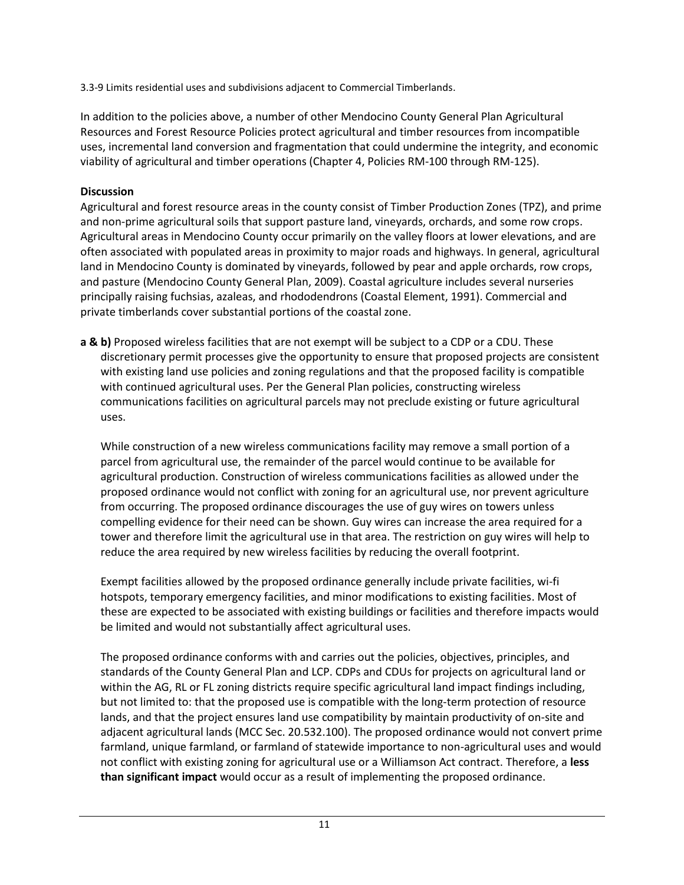3.3-9 Limits residential uses and subdivisions adjacent to Commercial Timberlands.

In addition to the policies above, a number of other Mendocino County General Plan Agricultural Resources and Forest Resource Policies protect agricultural and timber resources from incompatible uses, incremental land conversion and fragmentation that could undermine the integrity, and economic viability of agricultural and timber operations (Chapter 4, Policies RM-100 through RM-125).

# **Discussion**

Agricultural and forest resource areas in the county consist of Timber Production Zones (TPZ), and prime and non-prime agricultural soils that support pasture land, vineyards, orchards, and some row crops. Agricultural areas in Mendocino County occur primarily on the valley floors at lower elevations, and are often associated with populated areas in proximity to major roads and highways. In general, agricultural land in Mendocino County is dominated by vineyards, followed by pear and apple orchards, row crops, and pasture (Mendocino County General Plan, 2009). Coastal agriculture includes several nurseries principally raising fuchsias, azaleas, and rhododendrons (Coastal Element, 1991). Commercial and private timberlands cover substantial portions of the coastal zone.

**a & b)** Proposed wireless facilities that are not exempt will be subject to a CDP or a CDU. These discretionary permit processes give the opportunity to ensure that proposed projects are consistent with existing land use policies and zoning regulations and that the proposed facility is compatible with continued agricultural uses. Per the General Plan policies, constructing wireless communications facilities on agricultural parcels may not preclude existing or future agricultural uses.

While construction of a new wireless communications facility may remove a small portion of a parcel from agricultural use, the remainder of the parcel would continue to be available for agricultural production. Construction of wireless communications facilities as allowed under the proposed ordinance would not conflict with zoning for an agricultural use, nor prevent agriculture from occurring. The proposed ordinance discourages the use of guy wires on towers unless compelling evidence for their need can be shown. Guy wires can increase the area required for a tower and therefore limit the agricultural use in that area. The restriction on guy wires will help to reduce the area required by new wireless facilities by reducing the overall footprint.

Exempt facilities allowed by the proposed ordinance generally include private facilities, wi-fi hotspots, temporary emergency facilities, and minor modifications to existing facilities. Most of these are expected to be associated with existing buildings or facilities and therefore impacts would be limited and would not substantially affect agricultural uses.

The proposed ordinance conforms with and carries out the policies, objectives, principles, and standards of the County General Plan and LCP. CDPs and CDUs for projects on agricultural land or within the AG, RL or FL zoning districts require specific agricultural land impact findings including, but not limited to: that the proposed use is compatible with the long-term protection of resource lands, and that the project ensures land use compatibility by maintain productivity of on-site and adjacent agricultural lands (MCC Sec. 20.532.100). The proposed ordinance would not convert prime farmland, unique farmland, or farmland of statewide importance to non-agricultural uses and would not conflict with existing zoning for agricultural use or a Williamson Act contract. Therefore, a **less than significant impact** would occur as a result of implementing the proposed ordinance.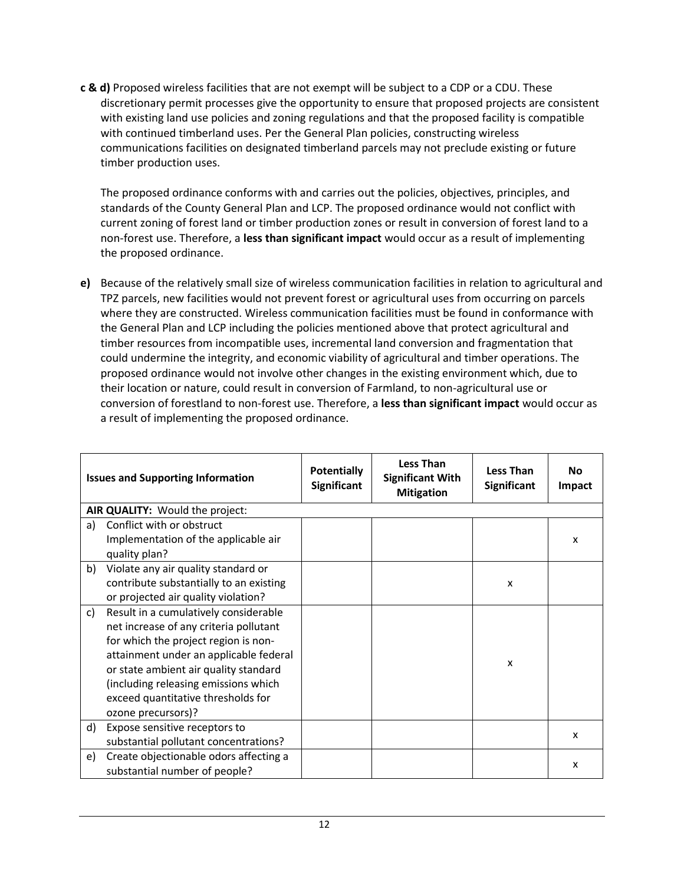**c & d)** Proposed wireless facilities that are not exempt will be subject to a CDP or a CDU. These discretionary permit processes give the opportunity to ensure that proposed projects are consistent with existing land use policies and zoning regulations and that the proposed facility is compatible with continued timberland uses. Per the General Plan policies, constructing wireless communications facilities on designated timberland parcels may not preclude existing or future timber production uses.

The proposed ordinance conforms with and carries out the policies, objectives, principles, and standards of the County General Plan and LCP. The proposed ordinance would not conflict with current zoning of forest land or timber production zones or result in conversion of forest land to a non-forest use. Therefore, a **less than significant impact** would occur as a result of implementing the proposed ordinance.

**e)** Because of the relatively small size of wireless communication facilities in relation to agricultural and TPZ parcels, new facilities would not prevent forest or agricultural uses from occurring on parcels where they are constructed. Wireless communication facilities must be found in conformance with the General Plan and LCP including the policies mentioned above that protect agricultural and timber resources from incompatible uses, incremental land conversion and fragmentation that could undermine the integrity, and economic viability of agricultural and timber operations. The proposed ordinance would not involve other changes in the existing environment which, due to their location or nature, could result in conversion of Farmland, to non-agricultural use or conversion of forestland to non-forest use. Therefore, a **less than significant impact** would occur as a result of implementing the proposed ordinance.

|    | <b>Issues and Supporting Information</b> | <b>Potentially</b><br><b>Significant</b> | <b>Less Than</b><br><b>Significant With</b><br><b>Mitigation</b> | <b>Less Than</b><br><b>Significant</b> | <b>No</b><br>Impact |
|----|------------------------------------------|------------------------------------------|------------------------------------------------------------------|----------------------------------------|---------------------|
|    | AIR QUALITY: Would the project:          |                                          |                                                                  |                                        |                     |
| a) | Conflict with or obstruct                |                                          |                                                                  |                                        |                     |
|    | Implementation of the applicable air     |                                          |                                                                  |                                        | X                   |
|    | quality plan?                            |                                          |                                                                  |                                        |                     |
| b) | Violate any air quality standard or      |                                          |                                                                  |                                        |                     |
|    | contribute substantially to an existing  |                                          |                                                                  | X                                      |                     |
|    | or projected air quality violation?      |                                          |                                                                  |                                        |                     |
| C) | Result in a cumulatively considerable    |                                          |                                                                  |                                        |                     |
|    | net increase of any criteria pollutant   |                                          |                                                                  |                                        |                     |
|    | for which the project region is non-     |                                          |                                                                  |                                        |                     |
|    | attainment under an applicable federal   |                                          |                                                                  | X                                      |                     |
|    | or state ambient air quality standard    |                                          |                                                                  |                                        |                     |
|    | (including releasing emissions which     |                                          |                                                                  |                                        |                     |
|    | exceed quantitative thresholds for       |                                          |                                                                  |                                        |                     |
|    | ozone precursors)?                       |                                          |                                                                  |                                        |                     |
| d) | Expose sensitive receptors to            |                                          |                                                                  |                                        | X                   |
|    | substantial pollutant concentrations?    |                                          |                                                                  |                                        |                     |
| e) | Create objectionable odors affecting a   |                                          |                                                                  |                                        | X                   |
|    | substantial number of people?            |                                          |                                                                  |                                        |                     |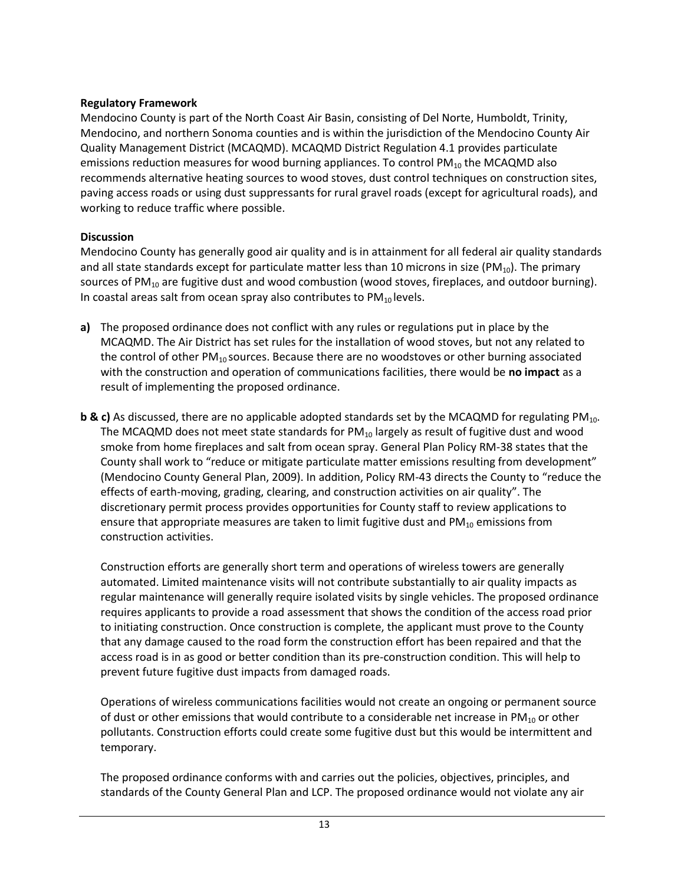Mendocino County is part of the North Coast Air Basin, consisting of Del Norte, Humboldt, Trinity, Mendocino, and northern Sonoma counties and is within the jurisdiction of the Mendocino County Air Quality Management District (MCAQMD). MCAQMD District Regulation 4.1 provides particulate emissions reduction measures for wood burning appliances. To control  $PM_{10}$  the MCAQMD also recommends alternative heating sources to wood stoves, dust control techniques on construction sites, paving access roads or using dust suppressants for rural gravel roads (except for agricultural roads), and working to reduce traffic where possible.

# **Discussion**

Mendocino County has generally good air quality and is in attainment for all federal air quality standards and all state standards except for particulate matter less than 10 microns in size (PM<sub>10</sub>). The primary sources of  $PM_{10}$  are fugitive dust and wood combustion (wood stoves, fireplaces, and outdoor burning). In coastal areas salt from ocean spray also contributes to  $PM_{10}$  levels.

- **a)** The proposed ordinance does not conflict with any rules or regulations put in place by the MCAQMD. The Air District has set rules for the installation of wood stoves, but not any related to the control of other  $PM_{10}$  sources. Because there are no woodstoves or other burning associated with the construction and operation of communications facilities, there would be **no impact** as a result of implementing the proposed ordinance.
- **b & c)** As discussed, there are no applicable adopted standards set by the MCAQMD for regulating PM<sub>10</sub>. The MCAQMD does not meet state standards for  $PM_{10}$  largely as result of fugitive dust and wood smoke from home fireplaces and salt from ocean spray. General Plan Policy RM-38 states that the County shall work to "reduce or mitigate particulate matter emissions resulting from development" (Mendocino County General Plan, 2009). In addition, Policy RM-43 directs the County to "reduce the effects of earth-moving, grading, clearing, and construction activities on air quality". The discretionary permit process provides opportunities for County staff to review applications to ensure that appropriate measures are taken to limit fugitive dust and  $PM_{10}$  emissions from construction activities.

Construction efforts are generally short term and operations of wireless towers are generally automated. Limited maintenance visits will not contribute substantially to air quality impacts as regular maintenance will generally require isolated visits by single vehicles. The proposed ordinance requires applicants to provide a road assessment that shows the condition of the access road prior to initiating construction. Once construction is complete, the applicant must prove to the County that any damage caused to the road form the construction effort has been repaired and that the access road is in as good or better condition than its pre-construction condition. This will help to prevent future fugitive dust impacts from damaged roads.

Operations of wireless communications facilities would not create an ongoing or permanent source of dust or other emissions that would contribute to a considerable net increase in  $PM_{10}$  or other pollutants. Construction efforts could create some fugitive dust but this would be intermittent and temporary.

The proposed ordinance conforms with and carries out the policies, objectives, principles, and standards of the County General Plan and LCP. The proposed ordinance would not violate any air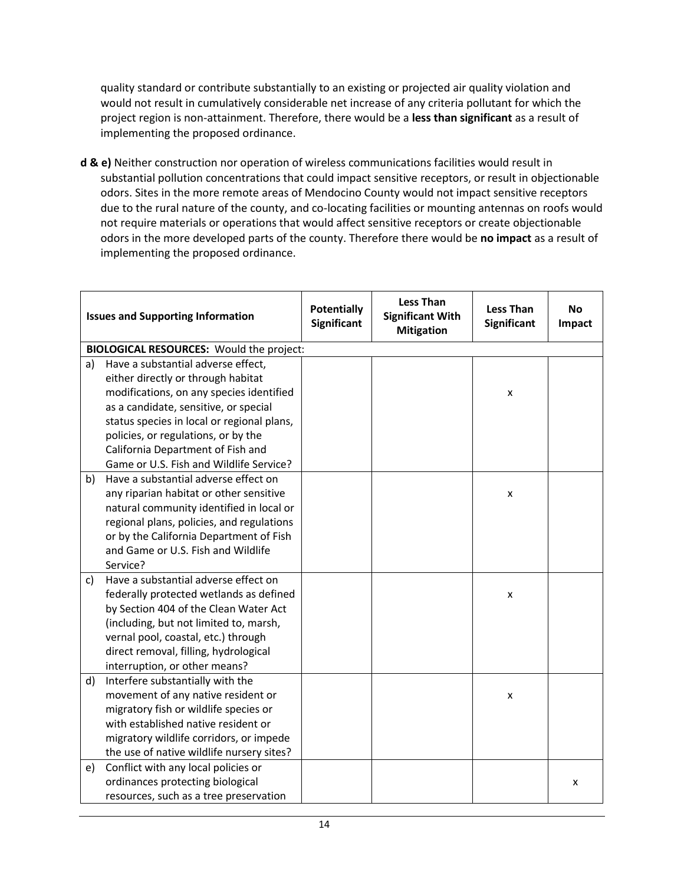quality standard or contribute substantially to an existing or projected air quality violation and would not result in cumulatively considerable net increase of any criteria pollutant for which the project region is non-attainment. Therefore, there would be a **less than significant** as a result of implementing the proposed ordinance.

**d & e)** Neither construction nor operation of wireless communications facilities would result in substantial pollution concentrations that could impact sensitive receptors, or result in objectionable odors. Sites in the more remote areas of Mendocino County would not impact sensitive receptors due to the rural nature of the county, and co-locating facilities or mounting antennas on roofs would not require materials or operations that would affect sensitive receptors or create objectionable odors in the more developed parts of the county. Therefore there would be **no impact** as a result of implementing the proposed ordinance.

|    | <b>Issues and Supporting Information</b>        | <b>Potentially</b><br>Significant | <b>Less Than</b><br><b>Significant With</b><br><b>Mitigation</b> | <b>Less Than</b><br>Significant | <b>No</b><br>Impact |
|----|-------------------------------------------------|-----------------------------------|------------------------------------------------------------------|---------------------------------|---------------------|
|    | <b>BIOLOGICAL RESOURCES: Would the project:</b> |                                   |                                                                  |                                 |                     |
| a) | Have a substantial adverse effect,              |                                   |                                                                  |                                 |                     |
|    | either directly or through habitat              |                                   |                                                                  |                                 |                     |
|    | modifications, on any species identified        |                                   |                                                                  | x                               |                     |
|    | as a candidate, sensitive, or special           |                                   |                                                                  |                                 |                     |
|    | status species in local or regional plans,      |                                   |                                                                  |                                 |                     |
|    | policies, or regulations, or by the             |                                   |                                                                  |                                 |                     |
|    | California Department of Fish and               |                                   |                                                                  |                                 |                     |
|    | Game or U.S. Fish and Wildlife Service?         |                                   |                                                                  |                                 |                     |
| b) | Have a substantial adverse effect on            |                                   |                                                                  |                                 |                     |
|    | any riparian habitat or other sensitive         |                                   |                                                                  | X                               |                     |
|    | natural community identified in local or        |                                   |                                                                  |                                 |                     |
|    | regional plans, policies, and regulations       |                                   |                                                                  |                                 |                     |
|    | or by the California Department of Fish         |                                   |                                                                  |                                 |                     |
|    | and Game or U.S. Fish and Wildlife              |                                   |                                                                  |                                 |                     |
|    | Service?                                        |                                   |                                                                  |                                 |                     |
| c) | Have a substantial adverse effect on            |                                   |                                                                  |                                 |                     |
|    | federally protected wetlands as defined         |                                   |                                                                  | $\pmb{\mathsf{X}}$              |                     |
|    | by Section 404 of the Clean Water Act           |                                   |                                                                  |                                 |                     |
|    | (including, but not limited to, marsh,          |                                   |                                                                  |                                 |                     |
|    | vernal pool, coastal, etc.) through             |                                   |                                                                  |                                 |                     |
|    | direct removal, filling, hydrological           |                                   |                                                                  |                                 |                     |
|    | interruption, or other means?                   |                                   |                                                                  |                                 |                     |
| d) | Interfere substantially with the                |                                   |                                                                  |                                 |                     |
|    | movement of any native resident or              |                                   |                                                                  | x                               |                     |
|    | migratory fish or wildlife species or           |                                   |                                                                  |                                 |                     |
|    | with established native resident or             |                                   |                                                                  |                                 |                     |
|    | migratory wildlife corridors, or impede         |                                   |                                                                  |                                 |                     |
|    | the use of native wildlife nursery sites?       |                                   |                                                                  |                                 |                     |
| e) | Conflict with any local policies or             |                                   |                                                                  |                                 |                     |
|    | ordinances protecting biological                |                                   |                                                                  |                                 | x                   |
|    | resources, such as a tree preservation          |                                   |                                                                  |                                 |                     |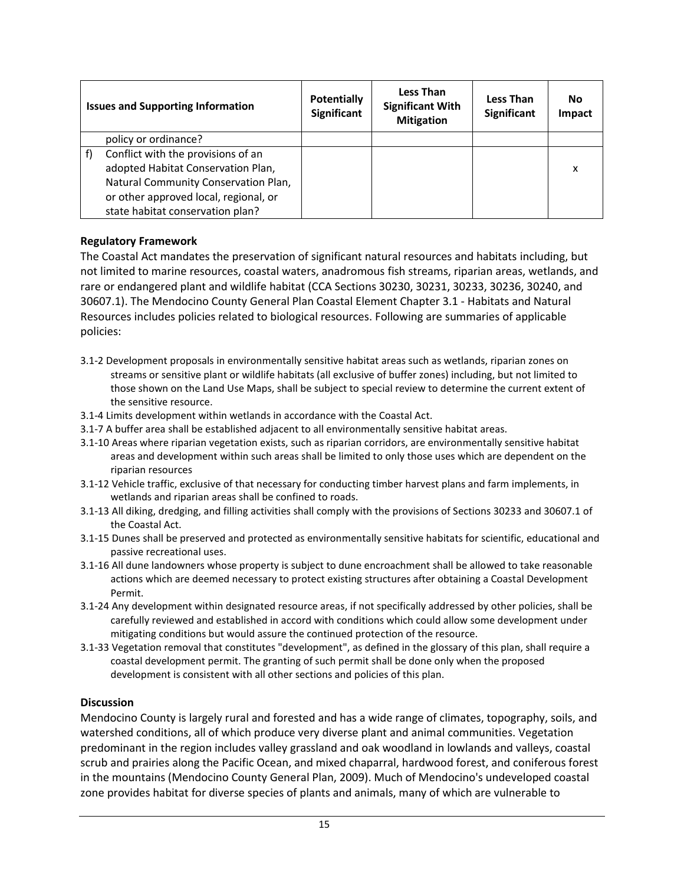| <b>Issues and Supporting Information</b> | <b>Potentially</b><br><b>Significant</b> | <b>Less Than</b><br><b>Significant With</b><br><b>Mitigation</b> | <b>Less Than</b><br><b>Significant</b> | No<br>Impact |
|------------------------------------------|------------------------------------------|------------------------------------------------------------------|----------------------------------------|--------------|
| policy or ordinance?                     |                                          |                                                                  |                                        |              |
| Conflict with the provisions of an       |                                          |                                                                  |                                        |              |
| adopted Habitat Conservation Plan,       |                                          |                                                                  |                                        | X            |
| Natural Community Conservation Plan,     |                                          |                                                                  |                                        |              |
| or other approved local, regional, or    |                                          |                                                                  |                                        |              |
| state habitat conservation plan?         |                                          |                                                                  |                                        |              |

The Coastal Act mandates the preservation of significant natural resources and habitats including, but not limited to marine resources, coastal waters, anadromous fish streams, riparian areas, wetlands, and rare or endangered plant and wildlife habitat (CCA Sections 30230, 30231, 30233, 30236, 30240, and 30607.1). The Mendocino County General Plan Coastal Element Chapter 3.1 - Habitats and Natural Resources includes policies related to biological resources. Following are summaries of applicable policies:

- 3.1-2 Development proposals in environmentally sensitive habitat areas such as wetlands, riparian zones on streams or sensitive plant or wildlife habitats (all exclusive of buffer zones) including, but not limited to those shown on the Land Use Maps, shall be subject to special review to determine the current extent of the sensitive resource.
- 3.1-4 Limits development within wetlands in accordance with the Coastal Act.
- 3.1-7 A buffer area shall be established adjacent to all environmentally sensitive habitat areas.
- 3.1-10 Areas where riparian vegetation exists, such as riparian corridors, are environmentally sensitive habitat areas and development within such areas shall be limited to only those uses which are dependent on the riparian resources
- 3.1-12 Vehicle traffic, exclusive of that necessary for conducting timber harvest plans and farm implements, in wetlands and riparian areas shall be confined to roads.
- 3.1-13 All diking, dredging, and filling activities shall comply with the provisions of Sections 30233 and 30607.1 of the Coastal Act.
- 3.1-15 Dunes shall be preserved and protected as environmentally sensitive habitats for scientific, educational and passive recreational uses.
- 3.1-16 All dune landowners whose property is subject to dune encroachment shall be allowed to take reasonable actions which are deemed necessary to protect existing structures after obtaining a Coastal Development Permit.
- 3.1-24 Any development within designated resource areas, if not specifically addressed by other policies, shall be carefully reviewed and established in accord with conditions which could allow some development under mitigating conditions but would assure the continued protection of the resource.
- 3.1-33 Vegetation removal that constitutes "development", as defined in the glossary of this plan, shall require a coastal development permit. The granting of such permit shall be done only when the proposed development is consistent with all other sections and policies of this plan.

#### **Discussion**

Mendocino County is largely rural and forested and has a wide range of climates, topography, soils, and watershed conditions, all of which produce very diverse plant and animal communities. Vegetation predominant in the region includes valley grassland and oak woodland in lowlands and valleys, coastal scrub and prairies along the Pacific Ocean, and mixed chaparral, hardwood forest, and coniferous forest in the mountains (Mendocino County General Plan, 2009). Much of Mendocino's undeveloped coastal zone provides habitat for diverse species of plants and animals, many of which are vulnerable to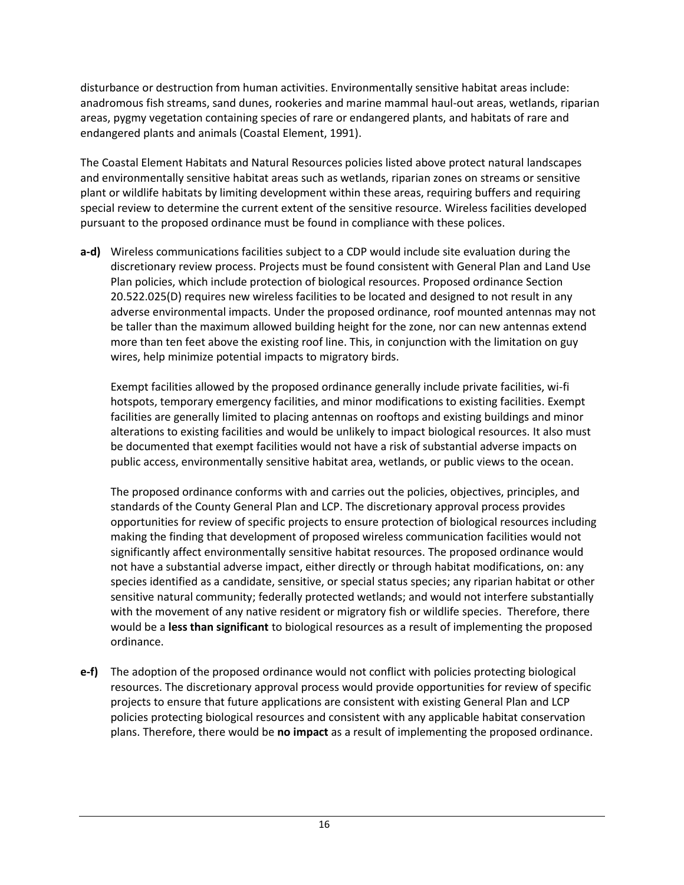disturbance or destruction from human activities. Environmentally sensitive habitat areas include: anadromous fish streams, sand dunes, rookeries and marine mammal haul-out areas, wetlands, riparian areas, pygmy vegetation containing species of rare or endangered plants, and habitats of rare and endangered plants and animals (Coastal Element, 1991).

The Coastal Element Habitats and Natural Resources policies listed above protect natural landscapes and environmentally sensitive habitat areas such as wetlands, riparian zones on streams or sensitive plant or wildlife habitats by limiting development within these areas, requiring buffers and requiring special review to determine the current extent of the sensitive resource. Wireless facilities developed pursuant to the proposed ordinance must be found in compliance with these polices.

**a-d)** Wireless communications facilities subject to a CDP would include site evaluation during the discretionary review process. Projects must be found consistent with General Plan and Land Use Plan policies, which include protection of biological resources. Proposed ordinance Section 20.522.025(D) requires new wireless facilities to be located and designed to not result in any adverse environmental impacts. Under the proposed ordinance, roof mounted antennas may not be taller than the maximum allowed building height for the zone, nor can new antennas extend more than ten feet above the existing roof line. This, in conjunction with the limitation on guy wires, help minimize potential impacts to migratory birds.

Exempt facilities allowed by the proposed ordinance generally include private facilities, wi-fi hotspots, temporary emergency facilities, and minor modifications to existing facilities. Exempt facilities are generally limited to placing antennas on rooftops and existing buildings and minor alterations to existing facilities and would be unlikely to impact biological resources. It also must be documented that exempt facilities would not have a risk of substantial adverse impacts on public access, environmentally sensitive habitat area, wetlands, or public views to the ocean.

The proposed ordinance conforms with and carries out the policies, objectives, principles, and standards of the County General Plan and LCP. The discretionary approval process provides opportunities for review of specific projects to ensure protection of biological resources including making the finding that development of proposed wireless communication facilities would not significantly affect environmentally sensitive habitat resources. The proposed ordinance would not have a substantial adverse impact, either directly or through habitat modifications, on: any species identified as a candidate, sensitive, or special status species; any riparian habitat or other sensitive natural community; federally protected wetlands; and would not interfere substantially with the movement of any native resident or migratory fish or wildlife species. Therefore, there would be a **less than significant** to biological resources as a result of implementing the proposed ordinance.

**e-f)** The adoption of the proposed ordinance would not conflict with policies protecting biological resources. The discretionary approval process would provide opportunities for review of specific projects to ensure that future applications are consistent with existing General Plan and LCP policies protecting biological resources and consistent with any applicable habitat conservation plans. Therefore, there would be **no impact** as a result of implementing the proposed ordinance.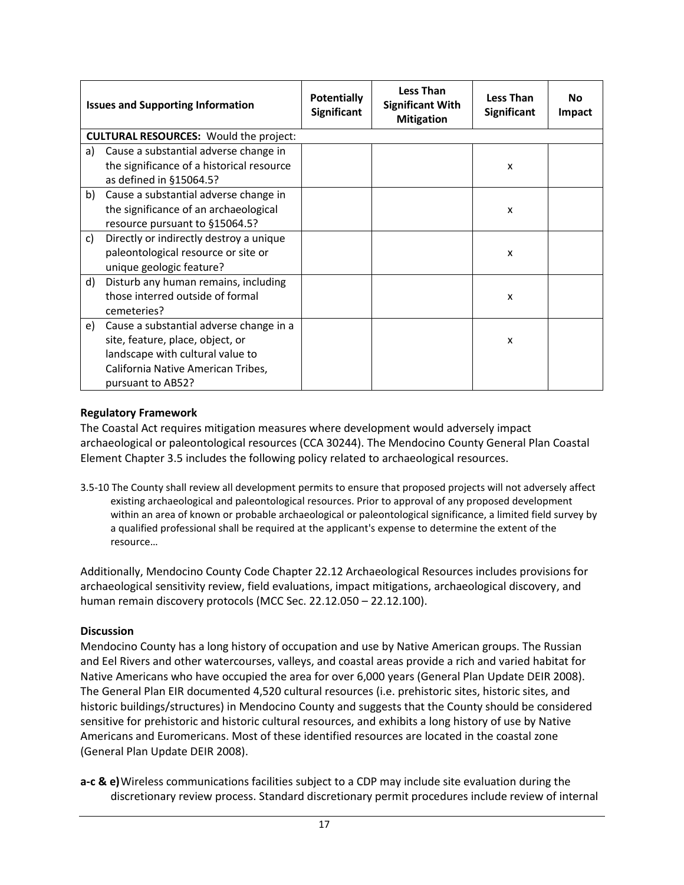|    | <b>Issues and Supporting Information</b>      | <b>Potentially</b><br><b>Significant</b> | <b>Less Than</b><br><b>Significant With</b><br><b>Mitigation</b> | Less Than<br><b>Significant</b> | Nο<br>Impact |  |
|----|-----------------------------------------------|------------------------------------------|------------------------------------------------------------------|---------------------------------|--------------|--|
|    | <b>CULTURAL RESOURCES: Would the project:</b> |                                          |                                                                  |                                 |              |  |
| a) | Cause a substantial adverse change in         |                                          |                                                                  |                                 |              |  |
|    | the significance of a historical resource     |                                          |                                                                  | X                               |              |  |
|    | as defined in §15064.5?                       |                                          |                                                                  |                                 |              |  |
|    | b) Cause a substantial adverse change in      |                                          |                                                                  |                                 |              |  |
|    | the significance of an archaeological         |                                          |                                                                  | X                               |              |  |
|    | resource pursuant to §15064.5?                |                                          |                                                                  |                                 |              |  |
| c) | Directly or indirectly destroy a unique       |                                          |                                                                  |                                 |              |  |
|    | paleontological resource or site or           |                                          |                                                                  | x                               |              |  |
|    | unique geologic feature?                      |                                          |                                                                  |                                 |              |  |
| d) | Disturb any human remains, including          |                                          |                                                                  |                                 |              |  |
|    | those interred outside of formal              |                                          |                                                                  | X                               |              |  |
|    | cemeteries?                                   |                                          |                                                                  |                                 |              |  |
| e) | Cause a substantial adverse change in a       |                                          |                                                                  |                                 |              |  |
|    | site, feature, place, object, or              |                                          |                                                                  | X                               |              |  |
|    | landscape with cultural value to              |                                          |                                                                  |                                 |              |  |
|    | California Native American Tribes,            |                                          |                                                                  |                                 |              |  |
|    | pursuant to AB52?                             |                                          |                                                                  |                                 |              |  |

The Coastal Act requires mitigation measures where development would adversely impact archaeological or paleontological resources (CCA 30244). The Mendocino County General Plan Coastal Element Chapter 3.5 includes the following policy related to archaeological resources.

3.5-10 The County shall review all development permits to ensure that proposed projects will not adversely affect existing archaeological and paleontological resources. Prior to approval of any proposed development within an area of known or probable archaeological or paleontological significance, a limited field survey by a qualified professional shall be required at the applicant's expense to determine the extent of the resource…

Additionally, Mendocino County Code Chapter 22.12 Archaeological Resources includes provisions for archaeological sensitivity review, field evaluations, impact mitigations, archaeological discovery, and human remain discovery protocols (MCC Sec. 22.12.050 – 22.12.100).

# **Discussion**

Mendocino County has a long history of occupation and use by Native American groups. The Russian and Eel Rivers and other watercourses, valleys, and coastal areas provide a rich and varied habitat for Native Americans who have occupied the area for over 6,000 years (General Plan Update DEIR 2008). The General Plan EIR documented 4,520 cultural resources (i.e. prehistoric sites, historic sites, and historic buildings/structures) in Mendocino County and suggests that the County should be considered sensitive for prehistoric and historic cultural resources, and exhibits a long history of use by Native Americans and Euromericans. Most of these identified resources are located in the coastal zone (General Plan Update DEIR 2008).

**a-c & e)**Wireless communications facilities subject to a CDP may include site evaluation during the discretionary review process. Standard discretionary permit procedures include review of internal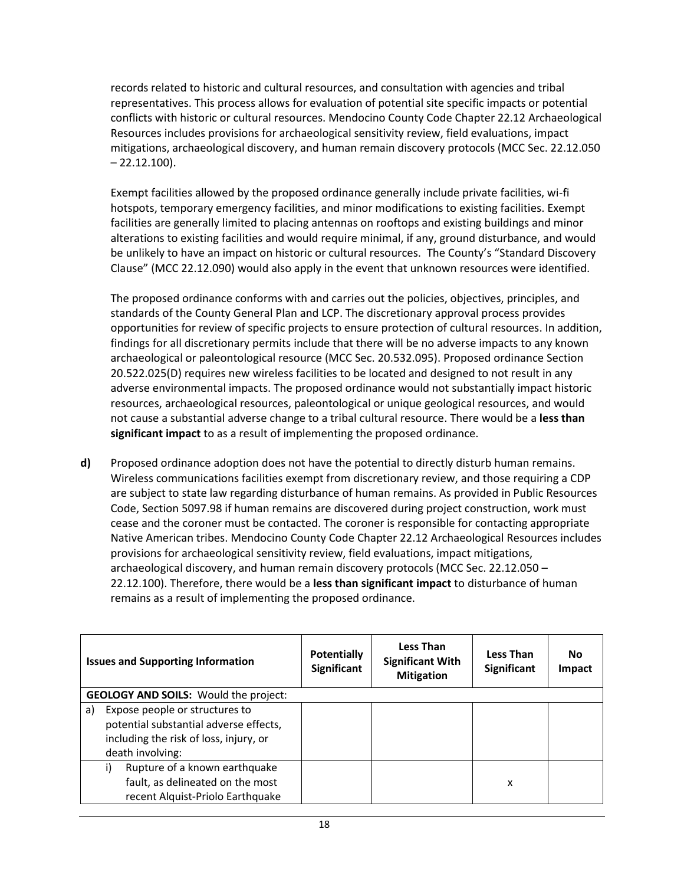records related to historic and cultural resources, and consultation with agencies and tribal representatives. This process allows for evaluation of potential site specific impacts or potential conflicts with historic or cultural resources. Mendocino County Code Chapter 22.12 Archaeological Resources includes provisions for archaeological sensitivity review, field evaluations, impact mitigations, archaeological discovery, and human remain discovery protocols (MCC Sec. 22.12.050  $-22.12.100$ ).

Exempt facilities allowed by the proposed ordinance generally include private facilities, wi-fi hotspots, temporary emergency facilities, and minor modifications to existing facilities. Exempt facilities are generally limited to placing antennas on rooftops and existing buildings and minor alterations to existing facilities and would require minimal, if any, ground disturbance, and would be unlikely to have an impact on historic or cultural resources. The County's "Standard Discovery Clause" (MCC 22.12.090) would also apply in the event that unknown resources were identified.

The proposed ordinance conforms with and carries out the policies, objectives, principles, and standards of the County General Plan and LCP. The discretionary approval process provides opportunities for review of specific projects to ensure protection of cultural resources. In addition, findings for all discretionary permits include that there will be no adverse impacts to any known archaeological or paleontological resource (MCC Sec. 20.532.095). Proposed ordinance Section 20.522.025(D) requires new wireless facilities to be located and designed to not result in any adverse environmental impacts. The proposed ordinance would not substantially impact historic resources, archaeological resources, paleontological or unique geological resources, and would not cause a substantial adverse change to a tribal cultural resource. There would be a **less than significant impact** to as a result of implementing the proposed ordinance.

**d)** Proposed ordinance adoption does not have the potential to directly disturb human remains. Wireless communications facilities exempt from discretionary review, and those requiring a CDP are subject to state law regarding disturbance of human remains. As provided in Public Resources Code, Section 5097.98 if human remains are discovered during project construction, work must cease and the coroner must be contacted. The coroner is responsible for contacting appropriate Native American tribes. Mendocino County Code Chapter 22.12 Archaeological Resources includes provisions for archaeological sensitivity review, field evaluations, impact mitigations, archaeological discovery, and human remain discovery protocols (MCC Sec. 22.12.050 – 22.12.100). Therefore, there would be a **less than significant impact** to disturbance of human remains as a result of implementing the proposed ordinance.

|    | <b>Issues and Supporting Information</b>                                                                                               | <b>Potentially</b><br><b>Significant</b> | <b>Less Than</b><br><b>Significant With</b><br><b>Mitigation</b> | <b>Less Than</b><br>Significant | <b>No</b><br><b>Impact</b> |
|----|----------------------------------------------------------------------------------------------------------------------------------------|------------------------------------------|------------------------------------------------------------------|---------------------------------|----------------------------|
|    | <b>GEOLOGY AND SOILS:</b> Would the project:                                                                                           |                                          |                                                                  |                                 |                            |
| a) | Expose people or structures to<br>potential substantial adverse effects,<br>including the risk of loss, injury, or<br>death involving: |                                          |                                                                  |                                 |                            |
|    | Rupture of a known earthquake<br>i)<br>fault, as delineated on the most<br>recent Alquist-Priolo Earthquake                            |                                          |                                                                  | x                               |                            |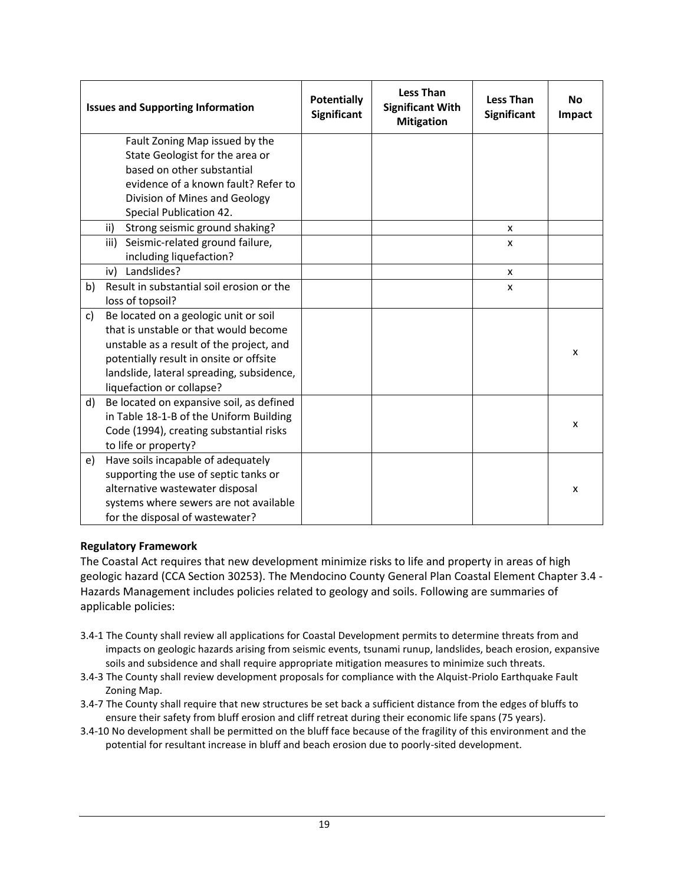|    | <b>Issues and Supporting Information</b>  | <b>Potentially</b><br><b>Significant</b> | <b>Less Than</b><br><b>Significant With</b><br><b>Mitigation</b> | <b>Less Than</b><br><b>Significant</b> | <b>No</b><br>Impact |
|----|-------------------------------------------|------------------------------------------|------------------------------------------------------------------|----------------------------------------|---------------------|
|    | Fault Zoning Map issued by the            |                                          |                                                                  |                                        |                     |
|    | State Geologist for the area or           |                                          |                                                                  |                                        |                     |
|    | based on other substantial                |                                          |                                                                  |                                        |                     |
|    | evidence of a known fault? Refer to       |                                          |                                                                  |                                        |                     |
|    | Division of Mines and Geology             |                                          |                                                                  |                                        |                     |
|    | Special Publication 42.                   |                                          |                                                                  |                                        |                     |
|    | ii)<br>Strong seismic ground shaking?     |                                          |                                                                  | X                                      |                     |
|    | Seismic-related ground failure,<br>iii)   |                                          |                                                                  | X                                      |                     |
|    | including liquefaction?                   |                                          |                                                                  |                                        |                     |
|    | Landslides?<br>iv)                        |                                          |                                                                  | X                                      |                     |
| b) | Result in substantial soil erosion or the |                                          |                                                                  | X                                      |                     |
|    | loss of topsoil?                          |                                          |                                                                  |                                        |                     |
| c) | Be located on a geologic unit or soil     |                                          |                                                                  |                                        |                     |
|    | that is unstable or that would become     |                                          |                                                                  |                                        |                     |
|    | unstable as a result of the project, and  |                                          |                                                                  |                                        | X                   |
|    | potentially result in onsite or offsite   |                                          |                                                                  |                                        |                     |
|    | landslide, lateral spreading, subsidence, |                                          |                                                                  |                                        |                     |
|    | liquefaction or collapse?                 |                                          |                                                                  |                                        |                     |
| d) | Be located on expansive soil, as defined  |                                          |                                                                  |                                        |                     |
|    | in Table 18-1-B of the Uniform Building   |                                          |                                                                  |                                        | х                   |
|    | Code (1994), creating substantial risks   |                                          |                                                                  |                                        |                     |
|    | to life or property?                      |                                          |                                                                  |                                        |                     |
| e) | Have soils incapable of adequately        |                                          |                                                                  |                                        |                     |
|    | supporting the use of septic tanks or     |                                          |                                                                  |                                        |                     |
|    | alternative wastewater disposal           |                                          |                                                                  |                                        | X                   |
|    | systems where sewers are not available    |                                          |                                                                  |                                        |                     |
|    | for the disposal of wastewater?           |                                          |                                                                  |                                        |                     |

The Coastal Act requires that new development minimize risks to life and property in areas of high geologic hazard (CCA Section 30253). The Mendocino County General Plan Coastal Element Chapter 3.4 - Hazards Management includes policies related to geology and soils. Following are summaries of applicable policies:

- 3.4-1 The County shall review all applications for Coastal Development permits to determine threats from and impacts on geologic hazards arising from seismic events, tsunami runup, landslides, beach erosion, expansive soils and subsidence and shall require appropriate mitigation measures to minimize such threats.
- 3.4-3 The County shall review development proposals for compliance with the Alquist-Priolo Earthquake Fault Zoning Map.
- 3.4-7 The County shall require that new structures be set back a sufficient distance from the edges of bluffs to ensure their safety from bluff erosion and cliff retreat during their economic life spans (75 years).
- 3.4-10 No development shall be permitted on the bluff face because of the fragility of this environment and the potential for resultant increase in bluff and beach erosion due to poorly-sited development.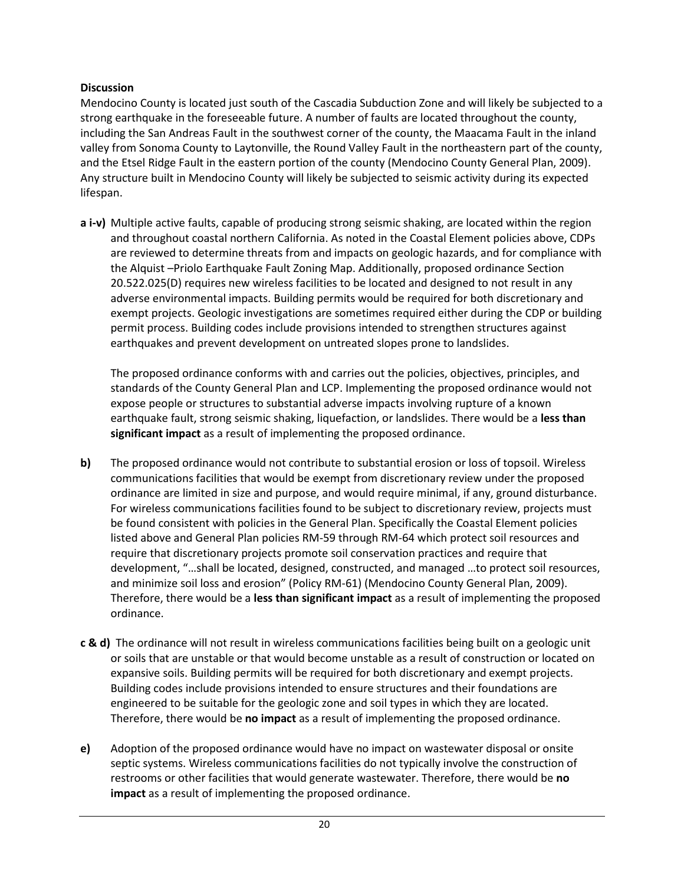#### **Discussion**

Mendocino County is located just south of the Cascadia Subduction Zone and will likely be subjected to a strong earthquake in the foreseeable future. A number of faults are located throughout the county, including the San Andreas Fault in the southwest corner of the county, the Maacama Fault in the inland valley from Sonoma County to Laytonville, the Round Valley Fault in the northeastern part of the county, and the Etsel Ridge Fault in the eastern portion of the county (Mendocino County General Plan, 2009). Any structure built in Mendocino County will likely be subjected to seismic activity during its expected lifespan.

**a i-v)** Multiple active faults, capable of producing strong seismic shaking, are located within the region and throughout coastal northern California. As noted in the Coastal Element policies above, CDPs are reviewed to determine threats from and impacts on geologic hazards, and for compliance with the Alquist –Priolo Earthquake Fault Zoning Map. Additionally, proposed ordinance Section 20.522.025(D) requires new wireless facilities to be located and designed to not result in any adverse environmental impacts. Building permits would be required for both discretionary and exempt projects. Geologic investigations are sometimes required either during the CDP or building permit process. Building codes include provisions intended to strengthen structures against earthquakes and prevent development on untreated slopes prone to landslides.

The proposed ordinance conforms with and carries out the policies, objectives, principles, and standards of the County General Plan and LCP. Implementing the proposed ordinance would not expose people or structures to substantial adverse impacts involving rupture of a known earthquake fault, strong seismic shaking, liquefaction, or landslides. There would be a **less than significant impact** as a result of implementing the proposed ordinance.

- **b)** The proposed ordinance would not contribute to substantial erosion or loss of topsoil. Wireless communications facilities that would be exempt from discretionary review under the proposed ordinance are limited in size and purpose, and would require minimal, if any, ground disturbance. For wireless communications facilities found to be subject to discretionary review, projects must be found consistent with policies in the General Plan. Specifically the Coastal Element policies listed above and General Plan policies RM-59 through RM-64 which protect soil resources and require that discretionary projects promote soil conservation practices and require that development, "…shall be located, designed, constructed, and managed …to protect soil resources, and minimize soil loss and erosion" (Policy RM-61) (Mendocino County General Plan, 2009). Therefore, there would be a **less than significant impact** as a result of implementing the proposed ordinance.
- **c & d)** The ordinance will not result in wireless communications facilities being built on a geologic unit or soils that are unstable or that would become unstable as a result of construction or located on expansive soils. Building permits will be required for both discretionary and exempt projects. Building codes include provisions intended to ensure structures and their foundations are engineered to be suitable for the geologic zone and soil types in which they are located. Therefore, there would be **no impact** as a result of implementing the proposed ordinance.
- **e)** Adoption of the proposed ordinance would have no impact on wastewater disposal or onsite septic systems. Wireless communications facilities do not typically involve the construction of restrooms or other facilities that would generate wastewater. Therefore, there would be **no impact** as a result of implementing the proposed ordinance.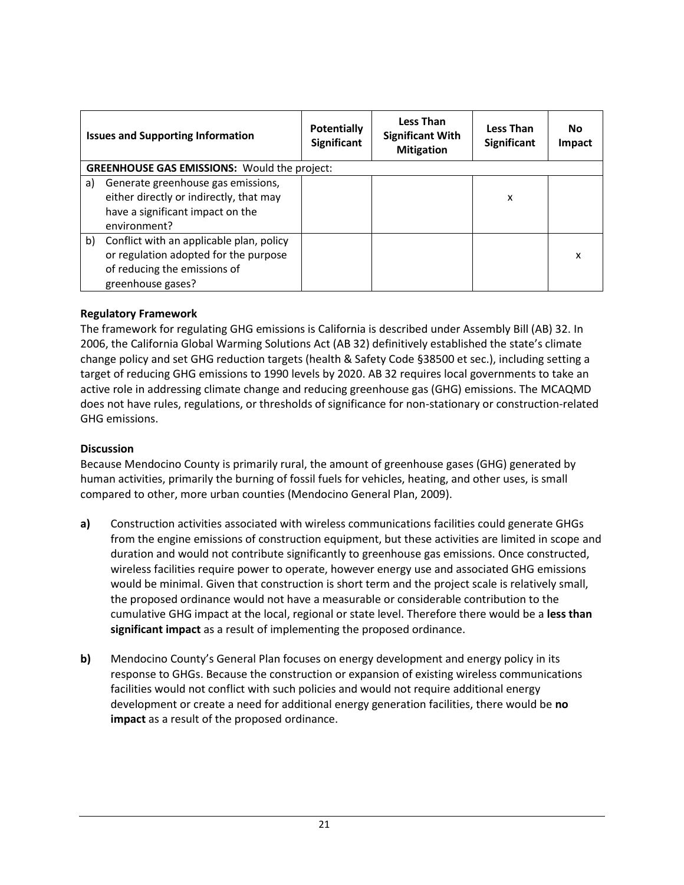|    | <b>Issues and Supporting Information</b>                                                                                               | <b>Potentially</b><br>Significant | <b>Less Than</b><br><b>Significant With</b><br><b>Mitigation</b> | <b>Less Than</b><br><b>Significant</b> | <b>No</b><br><b>Impact</b> |
|----|----------------------------------------------------------------------------------------------------------------------------------------|-----------------------------------|------------------------------------------------------------------|----------------------------------------|----------------------------|
|    | <b>GREENHOUSE GAS EMISSIONS:</b> Would the project:                                                                                    |                                   |                                                                  |                                        |                            |
| a) | Generate greenhouse gas emissions,<br>either directly or indirectly, that may<br>have a significant impact on the<br>environment?      |                                   |                                                                  | x                                      |                            |
| b) | Conflict with an applicable plan, policy<br>or regulation adopted for the purpose<br>of reducing the emissions of<br>greenhouse gases? |                                   |                                                                  |                                        | x                          |

The framework for regulating GHG emissions is California is described under Assembly Bill (AB) 32. In 2006, the California Global Warming Solutions Act (AB 32) definitively established the state's climate change policy and set GHG reduction targets (health & Safety Code §38500 et sec.), including setting a target of reducing GHG emissions to 1990 levels by 2020. AB 32 requires local governments to take an active role in addressing climate change and reducing greenhouse gas (GHG) emissions. The MCAQMD does not have rules, regulations, or thresholds of significance for non-stationary or construction-related GHG emissions.

#### **Discussion**

Because Mendocino County is primarily rural, the amount of greenhouse gases (GHG) generated by human activities, primarily the burning of fossil fuels for vehicles, heating, and other uses, is small compared to other, more urban counties (Mendocino General Plan, 2009).

- **a)** Construction activities associated with wireless communications facilities could generate GHGs from the engine emissions of construction equipment, but these activities are limited in scope and duration and would not contribute significantly to greenhouse gas emissions. Once constructed, wireless facilities require power to operate, however energy use and associated GHG emissions would be minimal. Given that construction is short term and the project scale is relatively small, the proposed ordinance would not have a measurable or considerable contribution to the cumulative GHG impact at the local, regional or state level. Therefore there would be a **less than significant impact** as a result of implementing the proposed ordinance.
- **b)** Mendocino County's General Plan focuses on energy development and energy policy in its response to GHGs. Because the construction or expansion of existing wireless communications facilities would not conflict with such policies and would not require additional energy development or create a need for additional energy generation facilities, there would be **no impact** as a result of the proposed ordinance.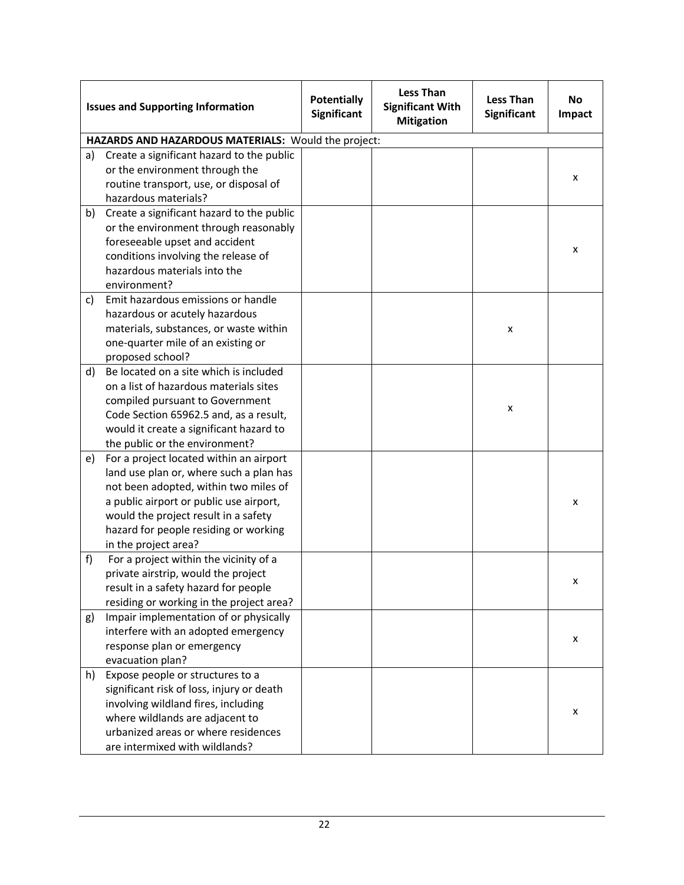|    | <b>Issues and Supporting Information</b>            | <b>Potentially</b><br><b>Significant</b> | <b>Less Than</b><br><b>Significant With</b><br><b>Mitigation</b> | <b>Less Than</b><br>Significant | <b>No</b><br><b>Impact</b> |
|----|-----------------------------------------------------|------------------------------------------|------------------------------------------------------------------|---------------------------------|----------------------------|
|    | HAZARDS AND HAZARDOUS MATERIALS: Would the project: |                                          |                                                                  |                                 |                            |
| a) | Create a significant hazard to the public           |                                          |                                                                  |                                 |                            |
|    | or the environment through the                      |                                          |                                                                  |                                 | x                          |
|    | routine transport, use, or disposal of              |                                          |                                                                  |                                 |                            |
|    | hazardous materials?                                |                                          |                                                                  |                                 |                            |
| b) | Create a significant hazard to the public           |                                          |                                                                  |                                 |                            |
|    | or the environment through reasonably               |                                          |                                                                  |                                 |                            |
|    | foreseeable upset and accident                      |                                          |                                                                  |                                 |                            |
|    | conditions involving the release of                 |                                          |                                                                  |                                 | X                          |
|    | hazardous materials into the                        |                                          |                                                                  |                                 |                            |
|    | environment?                                        |                                          |                                                                  |                                 |                            |
| c) | Emit hazardous emissions or handle                  |                                          |                                                                  |                                 |                            |
|    | hazardous or acutely hazardous                      |                                          |                                                                  |                                 |                            |
|    | materials, substances, or waste within              |                                          |                                                                  | X                               |                            |
|    | one-quarter mile of an existing or                  |                                          |                                                                  |                                 |                            |
|    | proposed school?                                    |                                          |                                                                  |                                 |                            |
| d) | Be located on a site which is included              |                                          |                                                                  |                                 |                            |
|    | on a list of hazardous materials sites              |                                          |                                                                  |                                 |                            |
|    | compiled pursuant to Government                     |                                          |                                                                  |                                 |                            |
|    | Code Section 65962.5 and, as a result,              |                                          |                                                                  | x                               |                            |
|    | would it create a significant hazard to             |                                          |                                                                  |                                 |                            |
|    | the public or the environment?                      |                                          |                                                                  |                                 |                            |
| e) | For a project located within an airport             |                                          |                                                                  |                                 |                            |
|    | land use plan or, where such a plan has             |                                          |                                                                  |                                 |                            |
|    | not been adopted, within two miles of               |                                          |                                                                  |                                 |                            |
|    | a public airport or public use airport,             |                                          |                                                                  |                                 | x                          |
|    | would the project result in a safety                |                                          |                                                                  |                                 |                            |
|    | hazard for people residing or working               |                                          |                                                                  |                                 |                            |
|    | in the project area?                                |                                          |                                                                  |                                 |                            |
| f  | For a project within the vicinity of a              |                                          |                                                                  |                                 |                            |
|    | private airstrip, would the project                 |                                          |                                                                  |                                 |                            |
|    | result in a safety hazard for people                |                                          |                                                                  |                                 | х                          |
|    | residing or working in the project area?            |                                          |                                                                  |                                 |                            |
| g) | Impair implementation of or physically              |                                          |                                                                  |                                 |                            |
|    | interfere with an adopted emergency                 |                                          |                                                                  |                                 |                            |
|    | response plan or emergency                          |                                          |                                                                  |                                 | X                          |
|    | evacuation plan?                                    |                                          |                                                                  |                                 |                            |
| h) | Expose people or structures to a                    |                                          |                                                                  |                                 |                            |
|    | significant risk of loss, injury or death           |                                          |                                                                  |                                 |                            |
|    | involving wildland fires, including                 |                                          |                                                                  |                                 |                            |
|    | where wildlands are adjacent to                     |                                          |                                                                  |                                 | X                          |
|    | urbanized areas or where residences                 |                                          |                                                                  |                                 |                            |
|    | are intermixed with wildlands?                      |                                          |                                                                  |                                 |                            |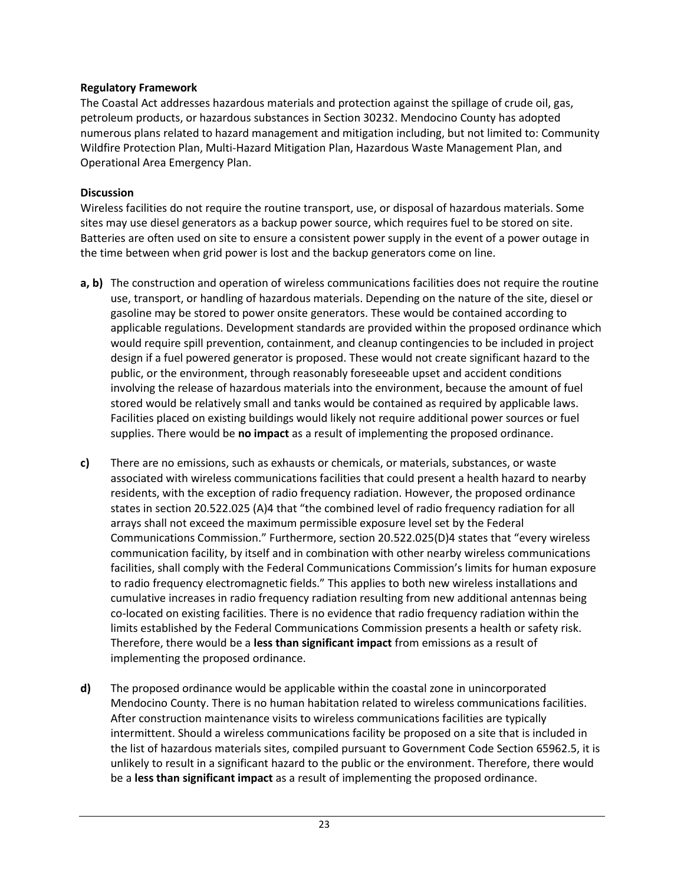The Coastal Act addresses hazardous materials and protection against the spillage of crude oil, gas, petroleum products, or hazardous substances in Section 30232. Mendocino County has adopted numerous plans related to hazard management and mitigation including, but not limited to: Community Wildfire Protection Plan, Multi-Hazard Mitigation Plan, Hazardous Waste Management Plan, and Operational Area Emergency Plan.

#### **Discussion**

Wireless facilities do not require the routine transport, use, or disposal of hazardous materials. Some sites may use diesel generators as a backup power source, which requires fuel to be stored on site. Batteries are often used on site to ensure a consistent power supply in the event of a power outage in the time between when grid power is lost and the backup generators come on line.

- **a, b)** The construction and operation of wireless communications facilities does not require the routine use, transport, or handling of hazardous materials. Depending on the nature of the site, diesel or gasoline may be stored to power onsite generators. These would be contained according to applicable regulations. Development standards are provided within the proposed ordinance which would require spill prevention, containment, and cleanup contingencies to be included in project design if a fuel powered generator is proposed. These would not create significant hazard to the public, or the environment, through reasonably foreseeable upset and accident conditions involving the release of hazardous materials into the environment, because the amount of fuel stored would be relatively small and tanks would be contained as required by applicable laws. Facilities placed on existing buildings would likely not require additional power sources or fuel supplies. There would be **no impact** as a result of implementing the proposed ordinance.
- **c)** There are no emissions, such as exhausts or chemicals, or materials, substances, or waste associated with wireless communications facilities that could present a health hazard to nearby residents, with the exception of radio frequency radiation. However, the proposed ordinance states in section 20.522.025 (A)4 that "the combined level of radio frequency radiation for all arrays shall not exceed the maximum permissible exposure level set by the Federal Communications Commission." Furthermore, section 20.522.025(D)4 states that "every wireless communication facility, by itself and in combination with other nearby wireless communications facilities, shall comply with the Federal Communications Commission's limits for human exposure to radio frequency electromagnetic fields." This applies to both new wireless installations and cumulative increases in radio frequency radiation resulting from new additional antennas being co-located on existing facilities. There is no evidence that radio frequency radiation within the limits established by the Federal Communications Commission presents a health or safety risk. Therefore, there would be a **less than significant impact** from emissions as a result of implementing the proposed ordinance.
- **d)** The proposed ordinance would be applicable within the coastal zone in unincorporated Mendocino County. There is no human habitation related to wireless communications facilities. After construction maintenance visits to wireless communications facilities are typically intermittent. Should a wireless communications facility be proposed on a site that is included in the list of hazardous materials sites, compiled pursuant to Government Code Section 65962.5, it is unlikely to result in a significant hazard to the public or the environment. Therefore, there would be a **less than significant impact** as a result of implementing the proposed ordinance.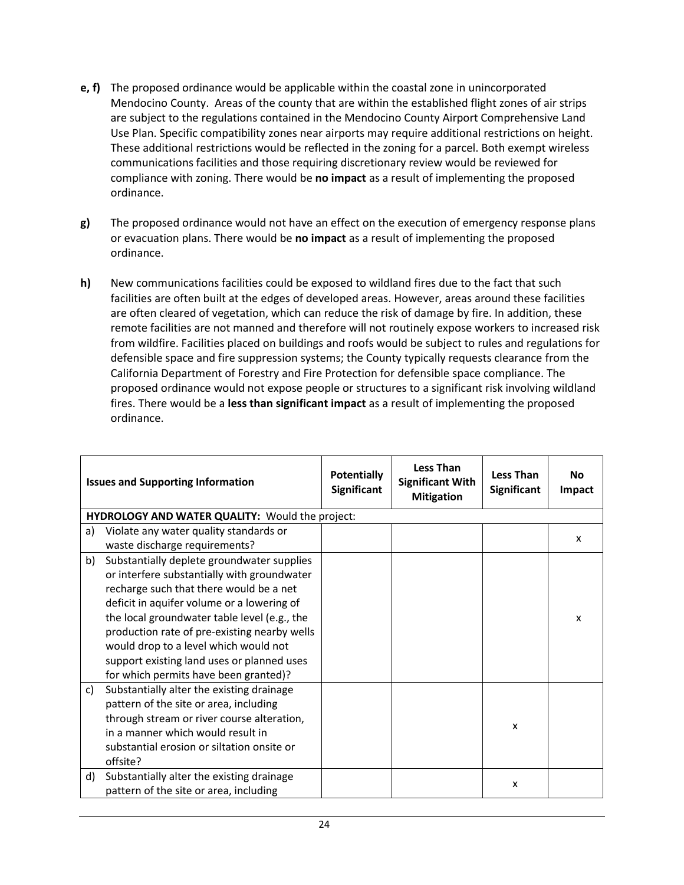- **e, f)** The proposed ordinance would be applicable within the coastal zone in unincorporated Mendocino County. Areas of the county that are within the established flight zones of air strips are subject to the regulations contained in the Mendocino County Airport Comprehensive Land Use Plan. Specific compatibility zones near airports may require additional restrictions on height. These additional restrictions would be reflected in the zoning for a parcel. Both exempt wireless communications facilities and those requiring discretionary review would be reviewed for compliance with zoning. There would be **no impact** as a result of implementing the proposed ordinance.
- **g)** The proposed ordinance would not have an effect on the execution of emergency response plans or evacuation plans. There would be **no impact** as a result of implementing the proposed ordinance.
- **h)** New communications facilities could be exposed to wildland fires due to the fact that such facilities are often built at the edges of developed areas. However, areas around these facilities are often cleared of vegetation, which can reduce the risk of damage by fire. In addition, these remote facilities are not manned and therefore will not routinely expose workers to increased risk from wildfire. Facilities placed on buildings and roofs would be subject to rules and regulations for defensible space and fire suppression systems; the County typically requests clearance from the California Department of Forestry and Fire Protection for defensible space compliance. The proposed ordinance would not expose people or structures to a significant risk involving wildland fires. There would be a **less than significant impact** as a result of implementing the proposed ordinance.

|    | <b>Issues and Supporting Information</b>               | <b>Potentially</b><br><b>Significant</b> | <b>Less Than</b><br><b>Significant With</b><br><b>Mitigation</b> | <b>Less Than</b><br><b>Significant</b> | <b>No</b><br>Impact |
|----|--------------------------------------------------------|------------------------------------------|------------------------------------------------------------------|----------------------------------------|---------------------|
|    | <b>HYDROLOGY AND WATER QUALITY: Would the project:</b> |                                          |                                                                  |                                        |                     |
| a) | Violate any water quality standards or                 |                                          |                                                                  |                                        |                     |
|    | waste discharge requirements?                          |                                          |                                                                  |                                        | x                   |
| b) | Substantially deplete groundwater supplies             |                                          |                                                                  |                                        |                     |
|    | or interfere substantially with groundwater            |                                          |                                                                  |                                        |                     |
|    | recharge such that there would be a net                |                                          |                                                                  |                                        |                     |
|    | deficit in aquifer volume or a lowering of             |                                          |                                                                  |                                        |                     |
|    | the local groundwater table level (e.g., the           |                                          |                                                                  |                                        | X                   |
|    | production rate of pre-existing nearby wells           |                                          |                                                                  |                                        |                     |
|    | would drop to a level which would not                  |                                          |                                                                  |                                        |                     |
|    | support existing land uses or planned uses             |                                          |                                                                  |                                        |                     |
|    | for which permits have been granted)?                  |                                          |                                                                  |                                        |                     |
| c) | Substantially alter the existing drainage              |                                          |                                                                  |                                        |                     |
|    | pattern of the site or area, including                 |                                          |                                                                  |                                        |                     |
|    | through stream or river course alteration,             |                                          |                                                                  | x                                      |                     |
|    | in a manner which would result in                      |                                          |                                                                  |                                        |                     |
|    | substantial erosion or siltation onsite or             |                                          |                                                                  |                                        |                     |
|    | offsite?                                               |                                          |                                                                  |                                        |                     |
| d) | Substantially alter the existing drainage              |                                          |                                                                  | X                                      |                     |
|    | pattern of the site or area, including                 |                                          |                                                                  |                                        |                     |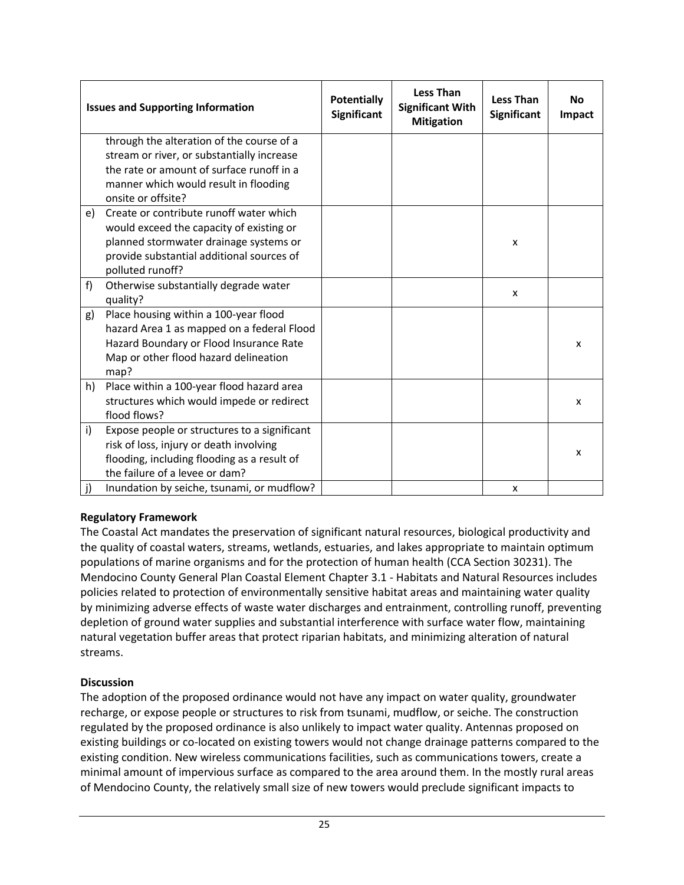|    | <b>Issues and Supporting Information</b>     | <b>Potentially</b><br><b>Significant</b> | <b>Less Than</b><br><b>Significant With</b><br><b>Mitigation</b> | <b>Less Than</b><br><b>Significant</b> | <b>No</b><br>Impact |
|----|----------------------------------------------|------------------------------------------|------------------------------------------------------------------|----------------------------------------|---------------------|
|    | through the alteration of the course of a    |                                          |                                                                  |                                        |                     |
|    | stream or river, or substantially increase   |                                          |                                                                  |                                        |                     |
|    | the rate or amount of surface runoff in a    |                                          |                                                                  |                                        |                     |
|    | manner which would result in flooding        |                                          |                                                                  |                                        |                     |
|    | onsite or offsite?                           |                                          |                                                                  |                                        |                     |
| e) | Create or contribute runoff water which      |                                          |                                                                  |                                        |                     |
|    | would exceed the capacity of existing or     |                                          |                                                                  |                                        |                     |
|    | planned stormwater drainage systems or       |                                          |                                                                  | X                                      |                     |
|    | provide substantial additional sources of    |                                          |                                                                  |                                        |                     |
|    | polluted runoff?                             |                                          |                                                                  |                                        |                     |
| f) | Otherwise substantially degrade water        |                                          |                                                                  | x                                      |                     |
|    | quality?                                     |                                          |                                                                  |                                        |                     |
| g) | Place housing within a 100-year flood        |                                          |                                                                  |                                        |                     |
|    | hazard Area 1 as mapped on a federal Flood   |                                          |                                                                  |                                        |                     |
|    | Hazard Boundary or Flood Insurance Rate      |                                          |                                                                  |                                        | x                   |
|    | Map or other flood hazard delineation        |                                          |                                                                  |                                        |                     |
|    | map?                                         |                                          |                                                                  |                                        |                     |
| h) | Place within a 100-year flood hazard area    |                                          |                                                                  |                                        |                     |
|    | structures which would impede or redirect    |                                          |                                                                  |                                        | X                   |
|    | flood flows?                                 |                                          |                                                                  |                                        |                     |
| i) | Expose people or structures to a significant |                                          |                                                                  |                                        |                     |
|    | risk of loss, injury or death involving      |                                          |                                                                  |                                        | X                   |
|    | flooding, including flooding as a result of  |                                          |                                                                  |                                        |                     |
|    | the failure of a levee or dam?               |                                          |                                                                  |                                        |                     |
| j) | Inundation by seiche, tsunami, or mudflow?   |                                          |                                                                  | X                                      |                     |

The Coastal Act mandates the preservation of significant natural resources, biological productivity and the quality of coastal waters, streams, wetlands, estuaries, and lakes appropriate to maintain optimum populations of marine organisms and for the protection of human health (CCA Section 30231). The Mendocino County General Plan Coastal Element Chapter 3.1 - Habitats and Natural Resources includes policies related to protection of environmentally sensitive habitat areas and maintaining water quality by minimizing adverse effects of waste water discharges and entrainment, controlling runoff, preventing depletion of ground water supplies and substantial interference with surface water flow, maintaining natural vegetation buffer areas that protect riparian habitats, and minimizing alteration of natural streams.

#### **Discussion**

The adoption of the proposed ordinance would not have any impact on water quality, groundwater recharge, or expose people or structures to risk from tsunami, mudflow, or seiche. The construction regulated by the proposed ordinance is also unlikely to impact water quality. Antennas proposed on existing buildings or co-located on existing towers would not change drainage patterns compared to the existing condition. New wireless communications facilities, such as communications towers, create a minimal amount of impervious surface as compared to the area around them. In the mostly rural areas of Mendocino County, the relatively small size of new towers would preclude significant impacts to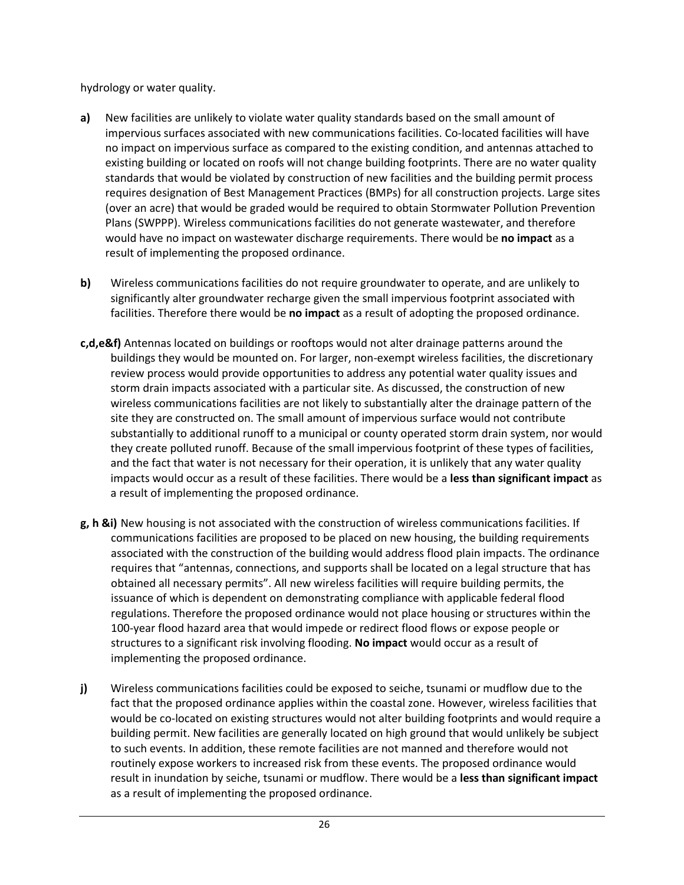hydrology or water quality.

- **a)** New facilities are unlikely to violate water quality standards based on the small amount of impervious surfaces associated with new communications facilities. Co-located facilities will have no impact on impervious surface as compared to the existing condition, and antennas attached to existing building or located on roofs will not change building footprints. There are no water quality standards that would be violated by construction of new facilities and the building permit process requires designation of Best Management Practices (BMPs) for all construction projects. Large sites (over an acre) that would be graded would be required to obtain Stormwater Pollution Prevention Plans (SWPPP). Wireless communications facilities do not generate wastewater, and therefore would have no impact on wastewater discharge requirements. There would be **no impact** as a result of implementing the proposed ordinance.
- **b)** Wireless communications facilities do not require groundwater to operate, and are unlikely to significantly alter groundwater recharge given the small impervious footprint associated with facilities. Therefore there would be **no impact** as a result of adopting the proposed ordinance.
- **c,d,e&f)** Antennas located on buildings or rooftops would not alter drainage patterns around the buildings they would be mounted on. For larger, non-exempt wireless facilities, the discretionary review process would provide opportunities to address any potential water quality issues and storm drain impacts associated with a particular site. As discussed, the construction of new wireless communications facilities are not likely to substantially alter the drainage pattern of the site they are constructed on. The small amount of impervious surface would not contribute substantially to additional runoff to a municipal or county operated storm drain system, nor would they create polluted runoff. Because of the small impervious footprint of these types of facilities, and the fact that water is not necessary for their operation, it is unlikely that any water quality impacts would occur as a result of these facilities. There would be a **less than significant impact** as a result of implementing the proposed ordinance.
- **g, h &i)** New housing is not associated with the construction of wireless communications facilities. If communications facilities are proposed to be placed on new housing, the building requirements associated with the construction of the building would address flood plain impacts. The ordinance requires that "antennas, connections, and supports shall be located on a legal structure that has obtained all necessary permits". All new wireless facilities will require building permits, the issuance of which is dependent on demonstrating compliance with applicable federal flood regulations. Therefore the proposed ordinance would not place housing or structures within the 100-year flood hazard area that would impede or redirect flood flows or expose people or structures to a significant risk involving flooding. **No impact** would occur as a result of implementing the proposed ordinance.
- **j)** Wireless communications facilities could be exposed to seiche, tsunami or mudflow due to the fact that the proposed ordinance applies within the coastal zone. However, wireless facilities that would be co-located on existing structures would not alter building footprints and would require a building permit. New facilities are generally located on high ground that would unlikely be subject to such events. In addition, these remote facilities are not manned and therefore would not routinely expose workers to increased risk from these events. The proposed ordinance would result in inundation by seiche, tsunami or mudflow. There would be a **less than significant impact** as a result of implementing the proposed ordinance.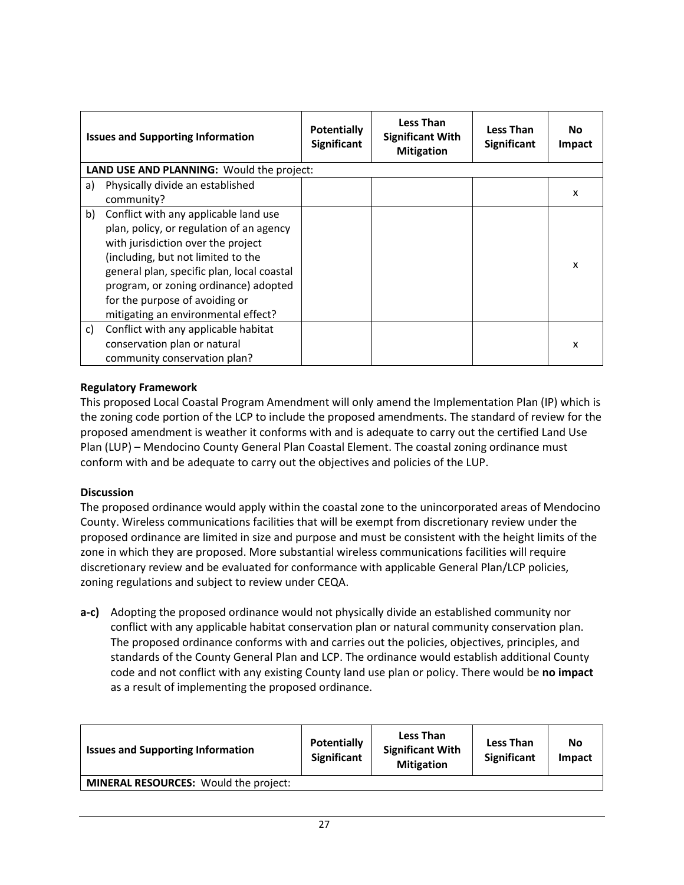|    | <b>Issues and Supporting Information</b>                                                                                                                                                                                                                                                                                      | <b>Potentially</b><br><b>Significant</b> | Less Than<br><b>Significant With</b><br><b>Mitigation</b> | <b>Less Than</b><br><b>Significant</b> | <b>No</b><br>Impact |
|----|-------------------------------------------------------------------------------------------------------------------------------------------------------------------------------------------------------------------------------------------------------------------------------------------------------------------------------|------------------------------------------|-----------------------------------------------------------|----------------------------------------|---------------------|
|    | <b>LAND USE AND PLANNING: Would the project:</b>                                                                                                                                                                                                                                                                              |                                          |                                                           |                                        |                     |
| a) | Physically divide an established<br>community?                                                                                                                                                                                                                                                                                |                                          |                                                           |                                        | X                   |
| b) | Conflict with any applicable land use<br>plan, policy, or regulation of an agency<br>with jurisdiction over the project<br>(including, but not limited to the<br>general plan, specific plan, local coastal<br>program, or zoning ordinance) adopted<br>for the purpose of avoiding or<br>mitigating an environmental effect? |                                          |                                                           |                                        | x                   |
| c) | Conflict with any applicable habitat<br>conservation plan or natural<br>community conservation plan?                                                                                                                                                                                                                          |                                          |                                                           |                                        | x                   |

This proposed Local Coastal Program Amendment will only amend the Implementation Plan (IP) which is the zoning code portion of the LCP to include the proposed amendments. The standard of review for the proposed amendment is weather it conforms with and is adequate to carry out the certified Land Use Plan (LUP) – Mendocino County General Plan Coastal Element. The coastal zoning ordinance must conform with and be adequate to carry out the objectives and policies of the LUP.

#### **Discussion**

The proposed ordinance would apply within the coastal zone to the unincorporated areas of Mendocino County. Wireless communications facilities that will be exempt from discretionary review under the proposed ordinance are limited in size and purpose and must be consistent with the height limits of the zone in which they are proposed. More substantial wireless communications facilities will require discretionary review and be evaluated for conformance with applicable General Plan/LCP policies, zoning regulations and subject to review under CEQA.

**a-c)** Adopting the proposed ordinance would not physically divide an established community nor conflict with any applicable habitat conservation plan or natural community conservation plan. The proposed ordinance conforms with and carries out the policies, objectives, principles, and standards of the County General Plan and LCP. The ordinance would establish additional County code and not conflict with any existing County land use plan or policy. There would be **no impact**  as a result of implementing the proposed ordinance.

| <b>Issues and Supporting Information</b>     | Potentially<br><b>Significant</b> | <b>Less Than</b><br><b>Significant With</b><br><b>Mitigation</b> | <b>Less Than</b><br><b>Significant</b> | No<br><b>Impact</b> |
|----------------------------------------------|-----------------------------------|------------------------------------------------------------------|----------------------------------------|---------------------|
| <b>MINERAL RESOURCES:</b> Would the project: |                                   |                                                                  |                                        |                     |
|                                              |                                   |                                                                  |                                        |                     |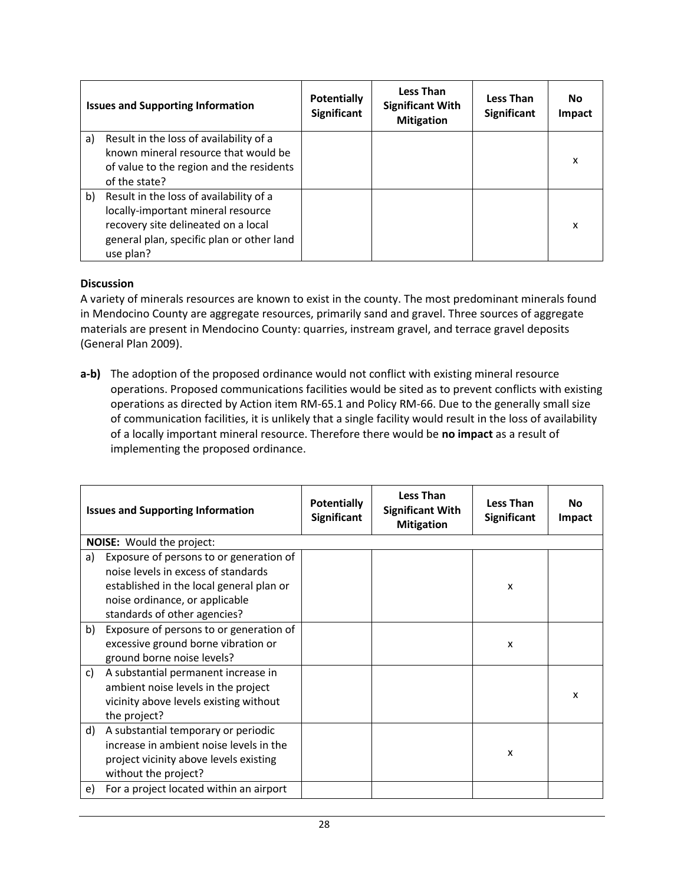|    | <b>Issues and Supporting Information</b>                                                                                                                                       | <b>Potentially</b><br>Significant | <b>Less Than</b><br><b>Significant With</b><br><b>Mitigation</b> | <b>Less Than</b><br><b>Significant</b> | <b>No</b><br><b>Impact</b> |
|----|--------------------------------------------------------------------------------------------------------------------------------------------------------------------------------|-----------------------------------|------------------------------------------------------------------|----------------------------------------|----------------------------|
| a) | Result in the loss of availability of a<br>known mineral resource that would be<br>of value to the region and the residents<br>of the state?                                   |                                   |                                                                  |                                        | X                          |
| b) | Result in the loss of availability of a<br>locally-important mineral resource<br>recovery site delineated on a local<br>general plan, specific plan or other land<br>use plan? |                                   |                                                                  |                                        | x                          |

#### **Discussion**

A variety of minerals resources are known to exist in the county. The most predominant minerals found in Mendocino County are aggregate resources, primarily sand and gravel. Three sources of aggregate materials are present in Mendocino County: quarries, instream gravel, and terrace gravel deposits (General Plan 2009).

**a-b)** The adoption of the proposed ordinance would not conflict with existing mineral resource operations. Proposed communications facilities would be sited as to prevent conflicts with existing operations as directed by Action item RM-65.1 and Policy RM-66. Due to the generally small size of communication facilities, it is unlikely that a single facility would result in the loss of availability of a locally important mineral resource. Therefore there would be **no impact** as a result of implementing the proposed ordinance.

|    | <b>Issues and Supporting Information</b>                                                                                                                                                     | <b>Potentially</b><br><b>Significant</b> | <b>Less Than</b><br><b>Significant With</b><br><b>Mitigation</b> | <b>Less Than</b><br><b>Significant</b> | Nο<br>Impact |
|----|----------------------------------------------------------------------------------------------------------------------------------------------------------------------------------------------|------------------------------------------|------------------------------------------------------------------|----------------------------------------|--------------|
|    | NOISE: Would the project:                                                                                                                                                                    |                                          |                                                                  |                                        |              |
| a) | Exposure of persons to or generation of<br>noise levels in excess of standards<br>established in the local general plan or<br>noise ordinance, or applicable<br>standards of other agencies? |                                          |                                                                  | X                                      |              |
| b) | Exposure of persons to or generation of<br>excessive ground borne vibration or<br>ground borne noise levels?                                                                                 |                                          |                                                                  | X                                      |              |
| c) | A substantial permanent increase in<br>ambient noise levels in the project<br>vicinity above levels existing without<br>the project?                                                         |                                          |                                                                  |                                        | X            |
| d) | A substantial temporary or periodic<br>increase in ambient noise levels in the<br>project vicinity above levels existing<br>without the project?                                             |                                          |                                                                  | $\boldsymbol{\mathsf{x}}$              |              |
| e) | For a project located within an airport                                                                                                                                                      |                                          |                                                                  |                                        |              |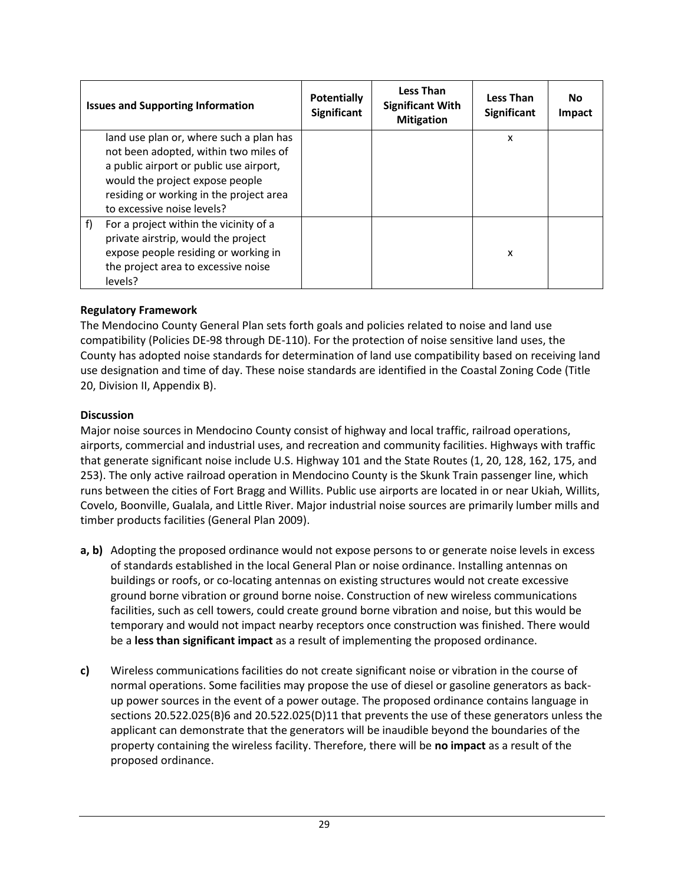| <b>Issues and Supporting Information</b>                                                                                                                                                                                                | <b>Potentially</b><br><b>Significant</b> | <b>Less Than</b><br><b>Significant With</b><br><b>Mitigation</b> | <b>Less Than</b><br><b>Significant</b> | Nο<br>Impact |
|-----------------------------------------------------------------------------------------------------------------------------------------------------------------------------------------------------------------------------------------|------------------------------------------|------------------------------------------------------------------|----------------------------------------|--------------|
| land use plan or, where such a plan has<br>not been adopted, within two miles of<br>a public airport or public use airport,<br>would the project expose people<br>residing or working in the project area<br>to excessive noise levels? |                                          |                                                                  | X                                      |              |
| f)<br>For a project within the vicinity of a<br>private airstrip, would the project<br>expose people residing or working in<br>the project area to excessive noise<br>levels?                                                           |                                          |                                                                  | x                                      |              |

The Mendocino County General Plan sets forth goals and policies related to noise and land use compatibility (Policies DE-98 through DE-110). For the protection of noise sensitive land uses, the County has adopted noise standards for determination of land use compatibility based on receiving land use designation and time of day. These noise standards are identified in the Coastal Zoning Code (Title 20, Division II, Appendix B).

#### **Discussion**

Major noise sources in Mendocino County consist of highway and local traffic, railroad operations, airports, commercial and industrial uses, and recreation and community facilities. Highways with traffic that generate significant noise include U.S. Highway 101 and the State Routes (1, 20, 128, 162, 175, and 253). The only active railroad operation in Mendocino County is the Skunk Train passenger line, which runs between the cities of Fort Bragg and Willits. Public use airports are located in or near Ukiah, Willits, Covelo, Boonville, Gualala, and Little River. Major industrial noise sources are primarily lumber mills and timber products facilities (General Plan 2009).

- **a, b)** Adopting the proposed ordinance would not expose persons to or generate noise levels in excess of standards established in the local General Plan or noise ordinance. Installing antennas on buildings or roofs, or co-locating antennas on existing structures would not create excessive ground borne vibration or ground borne noise. Construction of new wireless communications facilities, such as cell towers, could create ground borne vibration and noise, but this would be temporary and would not impact nearby receptors once construction was finished. There would be a **less than significant impact** as a result of implementing the proposed ordinance.
- **c)** Wireless communications facilities do not create significant noise or vibration in the course of normal operations. Some facilities may propose the use of diesel or gasoline generators as backup power sources in the event of a power outage. The proposed ordinance contains language in sections 20.522.025(B)6 and 20.522.025(D)11 that prevents the use of these generators unless the applicant can demonstrate that the generators will be inaudible beyond the boundaries of the property containing the wireless facility. Therefore, there will be **no impact** as a result of the proposed ordinance.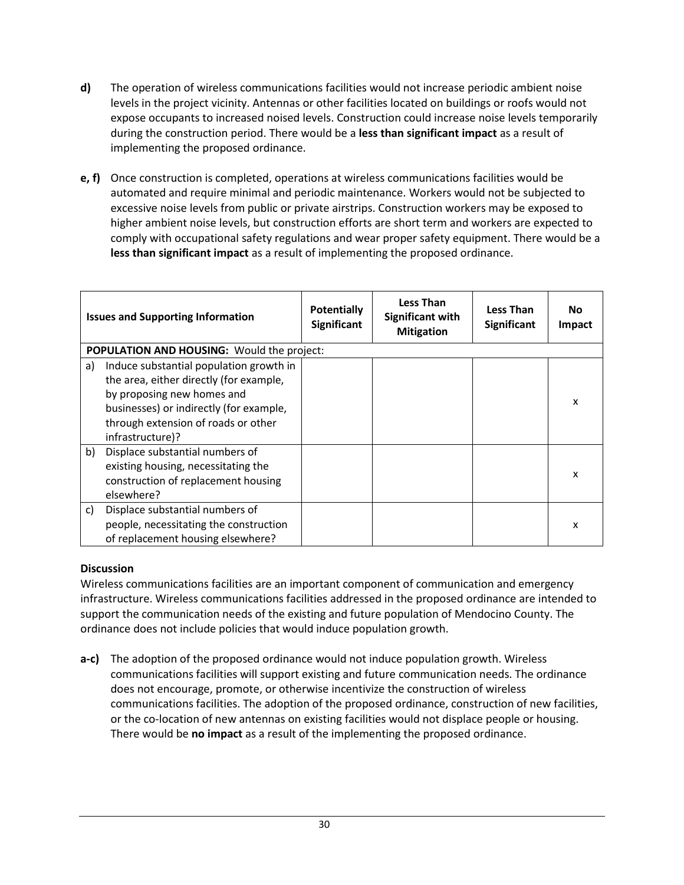- **d)** The operation of wireless communications facilities would not increase periodic ambient noise levels in the project vicinity. Antennas or other facilities located on buildings or roofs would not expose occupants to increased noised levels. Construction could increase noise levels temporarily during the construction period. There would be a **less than significant impact** as a result of implementing the proposed ordinance.
- **e, f)** Once construction is completed, operations at wireless communications facilities would be automated and require minimal and periodic maintenance. Workers would not be subjected to excessive noise levels from public or private airstrips. Construction workers may be exposed to higher ambient noise levels, but construction efforts are short term and workers are expected to comply with occupational safety regulations and wear proper safety equipment. There would be a **less than significant impact** as a result of implementing the proposed ordinance.

|    | <b>Issues and Supporting Information</b>   | <b>Potentially</b><br><b>Significant</b> | <b>Less Than</b><br><b>Significant with</b><br><b>Mitigation</b> | <b>Less Than</b><br><b>Significant</b> | <b>No</b><br>Impact       |
|----|--------------------------------------------|------------------------------------------|------------------------------------------------------------------|----------------------------------------|---------------------------|
|    | POPULATION AND HOUSING: Would the project: |                                          |                                                                  |                                        |                           |
| a) | Induce substantial population growth in    |                                          |                                                                  |                                        |                           |
|    | the area, either directly (for example,    |                                          |                                                                  |                                        |                           |
|    | by proposing new homes and                 |                                          |                                                                  |                                        | X                         |
|    | businesses) or indirectly (for example,    |                                          |                                                                  |                                        |                           |
|    | through extension of roads or other        |                                          |                                                                  |                                        |                           |
|    | infrastructure)?                           |                                          |                                                                  |                                        |                           |
| b) | Displace substantial numbers of            |                                          |                                                                  |                                        |                           |
|    | existing housing, necessitating the        |                                          |                                                                  |                                        | X                         |
|    | construction of replacement housing        |                                          |                                                                  |                                        |                           |
|    | elsewhere?                                 |                                          |                                                                  |                                        |                           |
| C) | Displace substantial numbers of            |                                          |                                                                  |                                        |                           |
|    | people, necessitating the construction     |                                          |                                                                  |                                        | $\boldsymbol{\mathsf{x}}$ |
|    | of replacement housing elsewhere?          |                                          |                                                                  |                                        |                           |

# **Discussion**

Wireless communications facilities are an important component of communication and emergency infrastructure. Wireless communications facilities addressed in the proposed ordinance are intended to support the communication needs of the existing and future population of Mendocino County. The ordinance does not include policies that would induce population growth.

**a-c)** The adoption of the proposed ordinance would not induce population growth. Wireless communications facilities will support existing and future communication needs. The ordinance does not encourage, promote, or otherwise incentivize the construction of wireless communications facilities. The adoption of the proposed ordinance, construction of new facilities, or the co-location of new antennas on existing facilities would not displace people or housing. There would be **no impact** as a result of the implementing the proposed ordinance.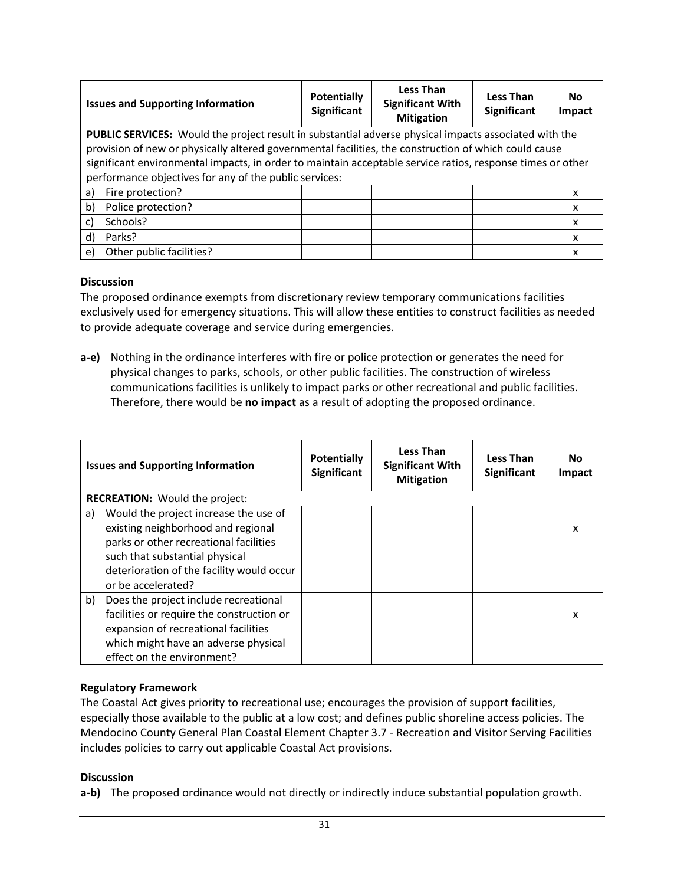| <b>Issues and Supporting Information</b>                                                                     | <b>Potentially</b><br><b>Significant</b> | <b>Less Than</b><br><b>Significant With</b><br><b>Mitigation</b> | <b>Less Than</b><br><b>Significant</b> | No<br>Impact |  |  |  |
|--------------------------------------------------------------------------------------------------------------|------------------------------------------|------------------------------------------------------------------|----------------------------------------|--------------|--|--|--|
| <b>PUBLIC SERVICES:</b> Would the project result in substantial adverse physical impacts associated with the |                                          |                                                                  |                                        |              |  |  |  |
| provision of new or physically altered governmental facilities, the construction of which could cause        |                                          |                                                                  |                                        |              |  |  |  |
| significant environmental impacts, in order to maintain acceptable service ratios, response times or other   |                                          |                                                                  |                                        |              |  |  |  |
| performance objectives for any of the public services:                                                       |                                          |                                                                  |                                        |              |  |  |  |
| Fire protection?<br>a)                                                                                       |                                          |                                                                  |                                        | x            |  |  |  |
| b)<br>Police protection?                                                                                     |                                          |                                                                  |                                        | x            |  |  |  |
| Schools?<br>C)                                                                                               |                                          |                                                                  |                                        | x            |  |  |  |
| d)<br>Parks?                                                                                                 |                                          |                                                                  |                                        | x            |  |  |  |
| Other public facilities?<br>e)                                                                               |                                          |                                                                  |                                        | x            |  |  |  |

#### **Discussion**

The proposed ordinance exempts from discretionary review temporary communications facilities exclusively used for emergency situations. This will allow these entities to construct facilities as needed to provide adequate coverage and service during emergencies.

**a-e)** Nothing in the ordinance interferes with fire or police protection or generates the need for physical changes to parks, schools, or other public facilities. The construction of wireless communications facilities is unlikely to impact parks or other recreational and public facilities. Therefore, there would be **no impact** as a result of adopting the proposed ordinance.

| <b>Issues and Supporting Information</b> |                                                                                                                                                                                                                            | <b>Potentially</b><br><b>Significant</b> | <b>Less Than</b><br><b>Significant With</b><br><b>Mitigation</b> | <b>Less Than</b><br>Significant | No.<br><b>Impact</b> |  |
|------------------------------------------|----------------------------------------------------------------------------------------------------------------------------------------------------------------------------------------------------------------------------|------------------------------------------|------------------------------------------------------------------|---------------------------------|----------------------|--|
|                                          | <b>RECREATION:</b> Would the project:                                                                                                                                                                                      |                                          |                                                                  |                                 |                      |  |
| a)                                       | Would the project increase the use of<br>existing neighborhood and regional<br>parks or other recreational facilities<br>such that substantial physical<br>deterioration of the facility would occur<br>or be accelerated? |                                          |                                                                  |                                 | x                    |  |
| b)                                       | Does the project include recreational<br>facilities or require the construction or<br>expansion of recreational facilities<br>which might have an adverse physical<br>effect on the environment?                           |                                          |                                                                  |                                 | x                    |  |

# **Regulatory Framework**

The Coastal Act gives priority to recreational use; encourages the provision of support facilities, especially those available to the public at a low cost; and defines public shoreline access policies. The Mendocino County General Plan Coastal Element Chapter 3.7 - Recreation and Visitor Serving Facilities includes policies to carry out applicable Coastal Act provisions.

#### **Discussion**

**a-b)** The proposed ordinance would not directly or indirectly induce substantial population growth.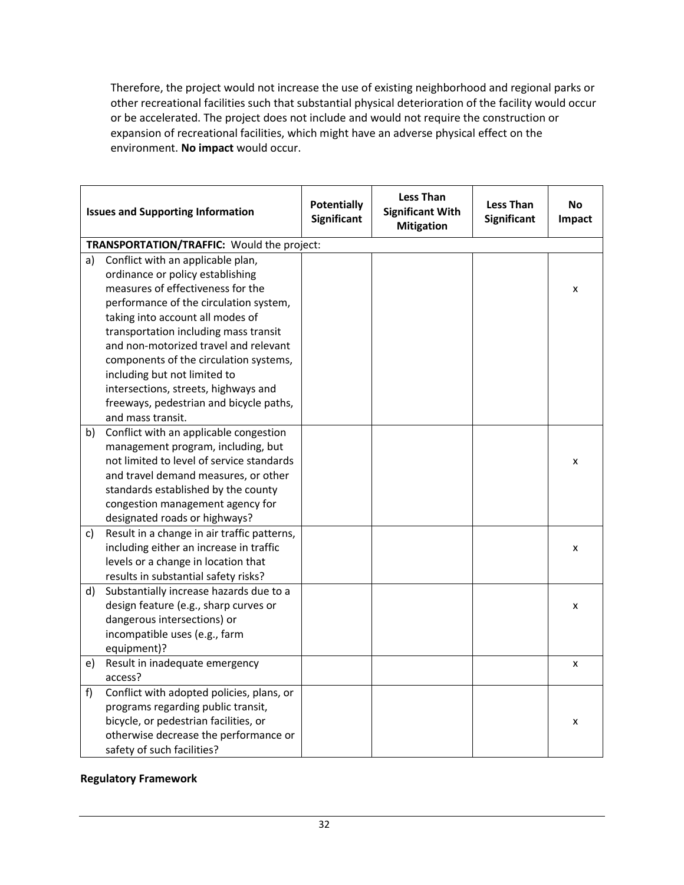Therefore, the project would not increase the use of existing neighborhood and regional parks or other recreational facilities such that substantial physical deterioration of the facility would occur or be accelerated. The project does not include and would not require the construction or expansion of recreational facilities, which might have an adverse physical effect on the environment. **No impact** would occur.

| <b>Issues and Supporting Information</b> |                                                                                                                                                                                                                                                                               | <b>Potentially</b><br><b>Significant</b> | <b>Less Than</b><br><b>Significant With</b><br><b>Mitigation</b> | <b>Less Than</b><br>Significant | <b>No</b><br>Impact |
|------------------------------------------|-------------------------------------------------------------------------------------------------------------------------------------------------------------------------------------------------------------------------------------------------------------------------------|------------------------------------------|------------------------------------------------------------------|---------------------------------|---------------------|
|                                          | TRANSPORTATION/TRAFFIC: Would the project:                                                                                                                                                                                                                                    |                                          |                                                                  |                                 |                     |
| a)                                       | Conflict with an applicable plan,<br>ordinance or policy establishing<br>measures of effectiveness for the<br>performance of the circulation system,<br>taking into account all modes of                                                                                      |                                          |                                                                  |                                 | x                   |
|                                          | transportation including mass transit<br>and non-motorized travel and relevant<br>components of the circulation systems,<br>including but not limited to<br>intersections, streets, highways and<br>freeways, pedestrian and bicycle paths,<br>and mass transit.              |                                          |                                                                  |                                 |                     |
| b)                                       | Conflict with an applicable congestion<br>management program, including, but<br>not limited to level of service standards<br>and travel demand measures, or other<br>standards established by the county<br>congestion management agency for<br>designated roads or highways? |                                          |                                                                  |                                 | x                   |
| c)                                       | Result in a change in air traffic patterns,<br>including either an increase in traffic<br>levels or a change in location that<br>results in substantial safety risks?                                                                                                         |                                          |                                                                  |                                 | x                   |
| d)                                       | Substantially increase hazards due to a<br>design feature (e.g., sharp curves or<br>dangerous intersections) or<br>incompatible uses (e.g., farm<br>equipment)?                                                                                                               |                                          |                                                                  |                                 | x                   |
| e)                                       | Result in inadequate emergency<br>access?                                                                                                                                                                                                                                     |                                          |                                                                  |                                 | x                   |
| f                                        | Conflict with adopted policies, plans, or<br>programs regarding public transit,<br>bicycle, or pedestrian facilities, or<br>otherwise decrease the performance or<br>safety of such facilities?                                                                               |                                          |                                                                  |                                 | x                   |

#### **Regulatory Framework**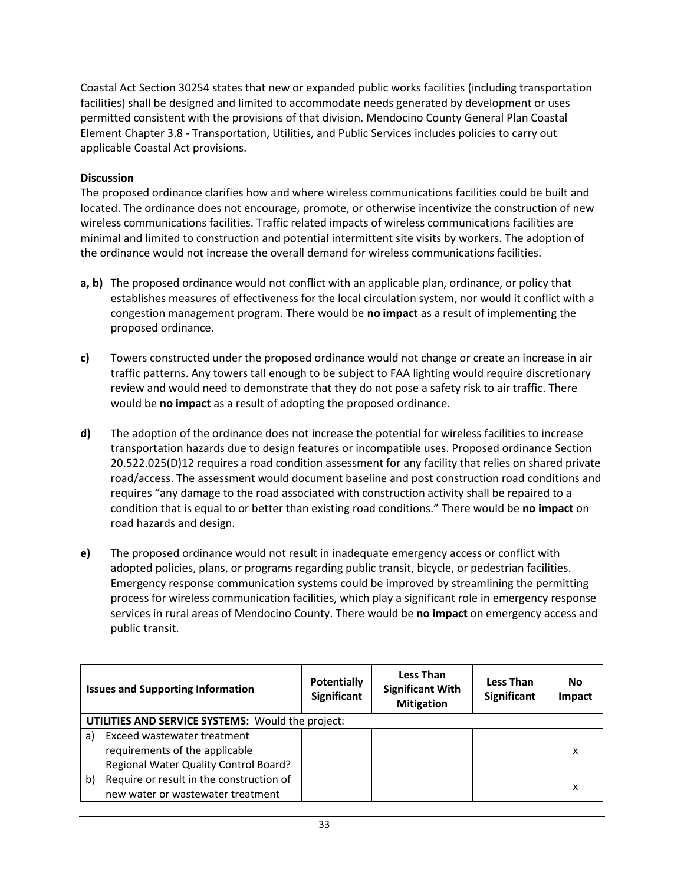Coastal Act Section 30254 states that new or expanded public works facilities (including transportation facilities) shall be designed and limited to accommodate needs generated by development or uses permitted consistent with the provisions of that division. Mendocino County General Plan Coastal Element Chapter 3.8 - Transportation, Utilities, and Public Services includes policies to carry out applicable Coastal Act provisions.

#### **Discussion**

The proposed ordinance clarifies how and where wireless communications facilities could be built and located. The ordinance does not encourage, promote, or otherwise incentivize the construction of new wireless communications facilities. Traffic related impacts of wireless communications facilities are minimal and limited to construction and potential intermittent site visits by workers. The adoption of the ordinance would not increase the overall demand for wireless communications facilities.

- **a, b)** The proposed ordinance would not conflict with an applicable plan, ordinance, or policy that establishes measures of effectiveness for the local circulation system, nor would it conflict with a congestion management program. There would be **no impact** as a result of implementing the proposed ordinance.
- **c)** Towers constructed under the proposed ordinance would not change or create an increase in air traffic patterns. Any towers tall enough to be subject to FAA lighting would require discretionary review and would need to demonstrate that they do not pose a safety risk to air traffic. There would be **no impact** as a result of adopting the proposed ordinance.
- **d)** The adoption of the ordinance does not increase the potential for wireless facilities to increase transportation hazards due to design features or incompatible uses. Proposed ordinance Section 20.522.025(D)12 requires a road condition assessment for any facility that relies on shared private road/access. The assessment would document baseline and post construction road conditions and requires "any damage to the road associated with construction activity shall be repaired to a condition that is equal to or better than existing road conditions." There would be **no impact** on road hazards and design.
- **e)** The proposed ordinance would not result in inadequate emergency access or conflict with adopted policies, plans, or programs regarding public transit, bicycle, or pedestrian facilities. Emergency response communication systems could be improved by streamlining the permitting process for wireless communication facilities, which play a significant role in emergency response services in rural areas of Mendocino County. There would be **no impact** on emergency access and public transit.

|    | <b>Issues and Supporting Information</b>          | <b>Potentially</b><br><b>Significant</b> | <b>Less Than</b><br><b>Significant With</b><br><b>Mitigation</b> | Less Than<br><b>Significant</b> | No<br><b>Impact</b> |  |  |
|----|---------------------------------------------------|------------------------------------------|------------------------------------------------------------------|---------------------------------|---------------------|--|--|
|    | UTILITIES AND SERVICE SYSTEMS: Would the project: |                                          |                                                                  |                                 |                     |  |  |
| a) | Exceed wastewater treatment                       |                                          |                                                                  |                                 |                     |  |  |
|    | requirements of the applicable                    |                                          |                                                                  |                                 | x                   |  |  |
|    | Regional Water Quality Control Board?             |                                          |                                                                  |                                 |                     |  |  |
| b) | Require or result in the construction of          |                                          |                                                                  |                                 |                     |  |  |
|    | new water or wastewater treatment                 |                                          |                                                                  |                                 | x                   |  |  |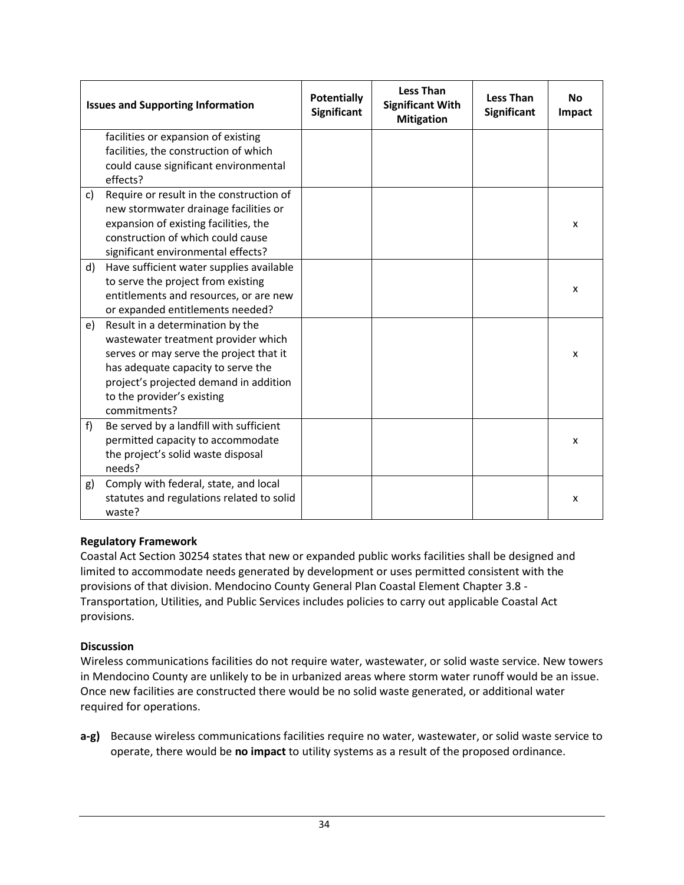|    | <b>Issues and Supporting Information</b>                                                                                                                                                                                                         | <b>Potentially</b><br>Significant | <b>Less Than</b><br><b>Significant With</b><br><b>Mitigation</b> | <b>Less Than</b><br><b>Significant</b> | <b>No</b><br>Impact |
|----|--------------------------------------------------------------------------------------------------------------------------------------------------------------------------------------------------------------------------------------------------|-----------------------------------|------------------------------------------------------------------|----------------------------------------|---------------------|
|    | facilities or expansion of existing<br>facilities, the construction of which<br>could cause significant environmental<br>effects?                                                                                                                |                                   |                                                                  |                                        |                     |
| c) | Require or result in the construction of<br>new stormwater drainage facilities or<br>expansion of existing facilities, the<br>construction of which could cause<br>significant environmental effects?                                            |                                   |                                                                  |                                        | x                   |
| d) | Have sufficient water supplies available<br>to serve the project from existing<br>entitlements and resources, or are new<br>or expanded entitlements needed?                                                                                     |                                   |                                                                  |                                        | x                   |
| e) | Result in a determination by the<br>wastewater treatment provider which<br>serves or may serve the project that it<br>has adequate capacity to serve the<br>project's projected demand in addition<br>to the provider's existing<br>commitments? |                                   |                                                                  |                                        | x                   |
| f  | Be served by a landfill with sufficient<br>permitted capacity to accommodate<br>the project's solid waste disposal<br>needs?                                                                                                                     |                                   |                                                                  |                                        | x                   |
| g) | Comply with federal, state, and local<br>statutes and regulations related to solid<br>waste?                                                                                                                                                     |                                   |                                                                  |                                        | x                   |

Coastal Act Section 30254 states that new or expanded public works facilities shall be designed and limited to accommodate needs generated by development or uses permitted consistent with the provisions of that division. Mendocino County General Plan Coastal Element Chapter 3.8 - Transportation, Utilities, and Public Services includes policies to carry out applicable Coastal Act provisions.

# **Discussion**

Wireless communications facilities do not require water, wastewater, or solid waste service. New towers in Mendocino County are unlikely to be in urbanized areas where storm water runoff would be an issue. Once new facilities are constructed there would be no solid waste generated, or additional water required for operations.

**a-g)** Because wireless communications facilities require no water, wastewater, or solid waste service to operate, there would be **no impact** to utility systems as a result of the proposed ordinance.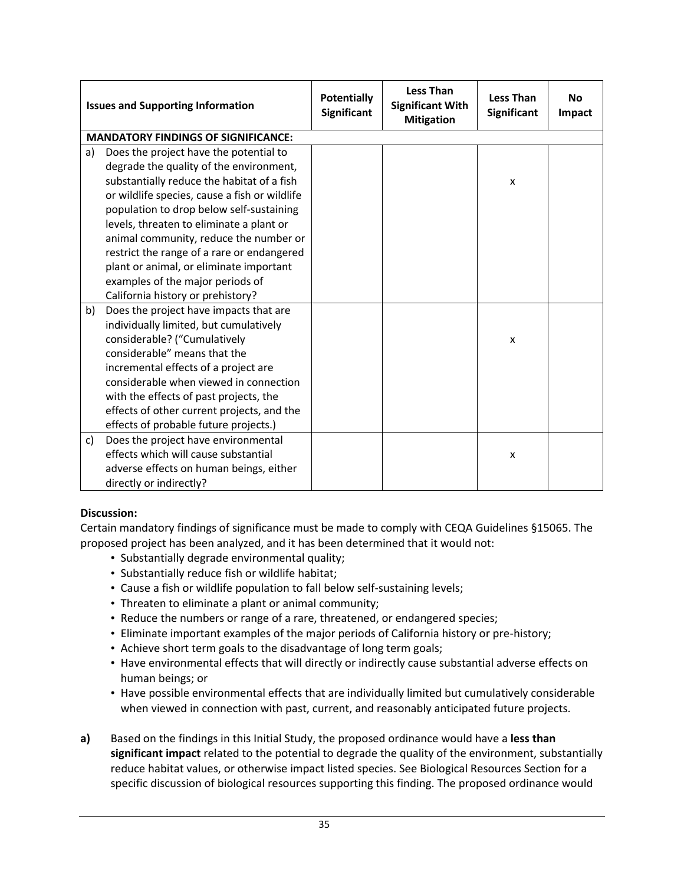| <b>Issues and Supporting Information</b> |                                               | <b>Potentially</b><br><b>Significant</b> | <b>Less Than</b><br><b>Significant With</b><br><b>Mitigation</b> | <b>Less Than</b><br><b>Significant</b> | <b>No</b><br>Impact |
|------------------------------------------|-----------------------------------------------|------------------------------------------|------------------------------------------------------------------|----------------------------------------|---------------------|
|                                          | <b>MANDATORY FINDINGS OF SIGNIFICANCE:</b>    |                                          |                                                                  |                                        |                     |
| a)                                       | Does the project have the potential to        |                                          |                                                                  |                                        |                     |
|                                          | degrade the quality of the environment,       |                                          |                                                                  |                                        |                     |
|                                          | substantially reduce the habitat of a fish    |                                          |                                                                  | X                                      |                     |
|                                          | or wildlife species, cause a fish or wildlife |                                          |                                                                  |                                        |                     |
|                                          | population to drop below self-sustaining      |                                          |                                                                  |                                        |                     |
|                                          | levels, threaten to eliminate a plant or      |                                          |                                                                  |                                        |                     |
|                                          | animal community, reduce the number or        |                                          |                                                                  |                                        |                     |
|                                          | restrict the range of a rare or endangered    |                                          |                                                                  |                                        |                     |
|                                          | plant or animal, or eliminate important       |                                          |                                                                  |                                        |                     |
|                                          | examples of the major periods of              |                                          |                                                                  |                                        |                     |
|                                          | California history or prehistory?             |                                          |                                                                  |                                        |                     |
| b)                                       | Does the project have impacts that are        |                                          |                                                                  |                                        |                     |
|                                          | individually limited, but cumulatively        |                                          |                                                                  |                                        |                     |
|                                          | considerable? ("Cumulatively                  |                                          |                                                                  | $\boldsymbol{x}$                       |                     |
|                                          | considerable" means that the                  |                                          |                                                                  |                                        |                     |
|                                          | incremental effects of a project are          |                                          |                                                                  |                                        |                     |
|                                          | considerable when viewed in connection        |                                          |                                                                  |                                        |                     |
|                                          | with the effects of past projects, the        |                                          |                                                                  |                                        |                     |
|                                          | effects of other current projects, and the    |                                          |                                                                  |                                        |                     |
|                                          | effects of probable future projects.)         |                                          |                                                                  |                                        |                     |
| C)                                       | Does the project have environmental           |                                          |                                                                  |                                        |                     |
|                                          | effects which will cause substantial          |                                          |                                                                  | X                                      |                     |
|                                          | adverse effects on human beings, either       |                                          |                                                                  |                                        |                     |
|                                          | directly or indirectly?                       |                                          |                                                                  |                                        |                     |

# **Discussion:**

Certain mandatory findings of significance must be made to comply with CEQA Guidelines §15065. The proposed project has been analyzed, and it has been determined that it would not:

- Substantially degrade environmental quality;
- Substantially reduce fish or wildlife habitat;
- Cause a fish or wildlife population to fall below self-sustaining levels;
- Threaten to eliminate a plant or animal community;
- Reduce the numbers or range of a rare, threatened, or endangered species;
- Eliminate important examples of the major periods of California history or pre-history;
- Achieve short term goals to the disadvantage of long term goals;
- Have environmental effects that will directly or indirectly cause substantial adverse effects on human beings; or
- Have possible environmental effects that are individually limited but cumulatively considerable when viewed in connection with past, current, and reasonably anticipated future projects.
- **a)** Based on the findings in this Initial Study, the proposed ordinance would have a **less than significant impact** related to the potential to degrade the quality of the environment, substantially reduce habitat values, or otherwise impact listed species. See Biological Resources Section for a specific discussion of biological resources supporting this finding. The proposed ordinance would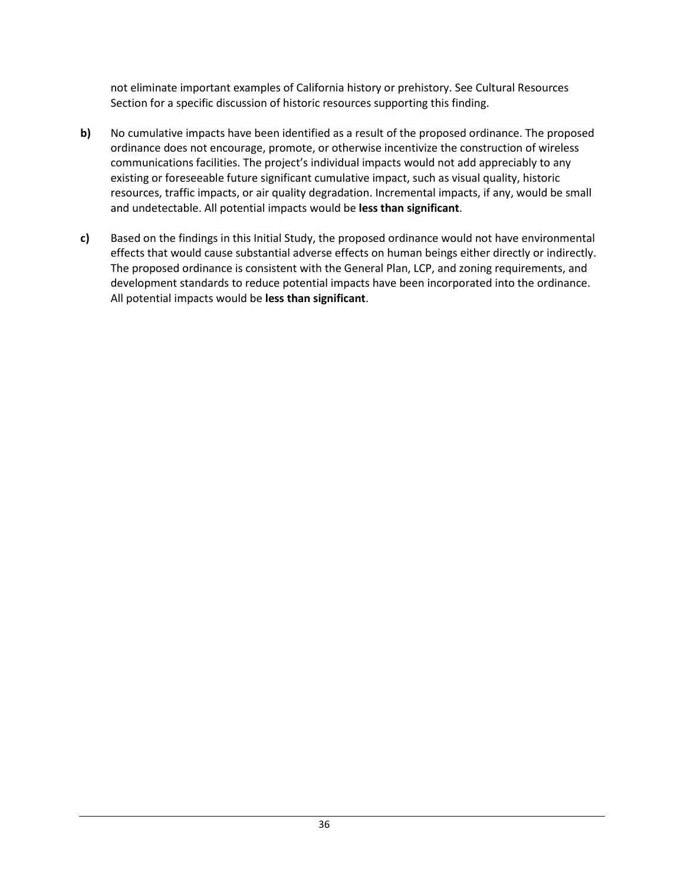not eliminate important examples of California history or prehistory. See Cultural Resources Section for a specific discussion of historic resources supporting this finding.

- **b)** No cumulative impacts have been identified as a result of the proposed ordinance. The proposed ordinance does not encourage, promote, or otherwise incentivize the construction of wireless communications facilities. The project's individual impacts would not add appreciably to any existing or foreseeable future significant cumulative impact, such as visual quality, historic resources, traffic impacts, or air quality degradation. Incremental impacts, if any, would be small and undetectable. All potential impacts would be **less than significant**.
- **c)** Based on the findings in this Initial Study, the proposed ordinance would not have environmental effects that would cause substantial adverse effects on human beings either directly or indirectly. The proposed ordinance is consistent with the General Plan, LCP, and zoning requirements, and development standards to reduce potential impacts have been incorporated into the ordinance. All potential impacts would be **less than significant**.